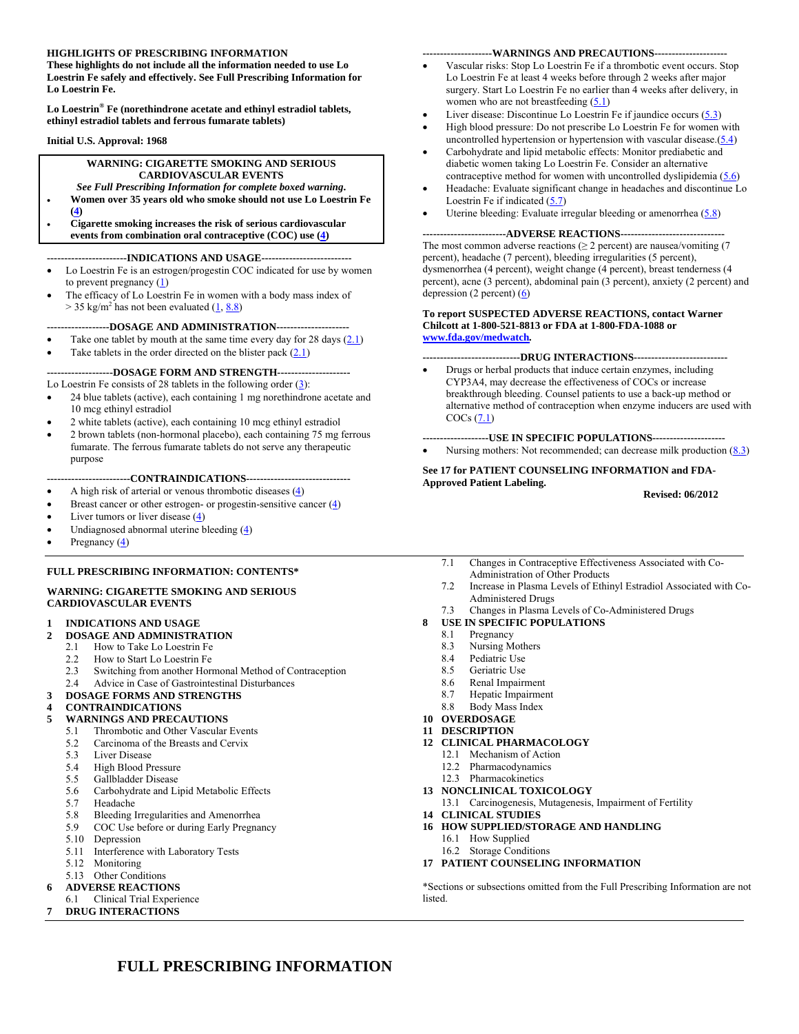### **HIGHLIGHTS OF PRESCRIBING INFORMATION**

**These highlights do not include all the information needed to use Lo Loestrin Fe safely and effectively. See Full Prescribing Information for Lo Loestrin Fe.** 

**Lo Loestrin® Fe (norethindrone acetate and ethinyl estradiol tablets, ethinyl estradiol tablets and ferrous fumarate tablets)** 

#### **Initial U.S. Approval: 1968**

#### **WARNING: CIGARETTE SMOKING AND SERIOUS CARDIOVASCULAR EVENTS**

*See Full Prescribing Information for complete boxed warning***.** 

- **Women over 35 years old who smoke should not use Lo Loestrin Fe (4)**
- **Cigarette smoking increases the risk of serious cardiovascular events from combination oral contraceptive (COC) use (4)**

#### **-----------------------INDICATIONS AND USAGE--------------------------**

- Lo Loestrin Fe is an estrogen/progestin COC indicated for use by women to prevent pregnancy (1)
- The efficacy of Lo Loestrin Fe in women with a body mass index of  $>$  35 kg/m<sup>2</sup> has not been evaluated  $(1, 8.8)$

#### **------------------DOSAGE AND ADMINISTRATION---------------------**

Take one tablet by mouth at the same time every day for 28 days  $(2.1)$ 

Take tablets in the order directed on the blister pack  $(2.1)$ 

### **-------------------DOSAGE FORM AND STRENGTH---------------------**

Lo Loestrin Fe consists of 28 tablets in the following order  $(3)$ :

- 24 blue tablets (active), each containing 1 mg norethindrone acetate and 10 mcg ethinyl estradiol
- 2 white tablets (active), each containing 10 mcg ethinyl estradiol
- 2 brown tablets (non-hormonal placebo), each containing 75 mg ferrous fumarate. The ferrous fumarate tablets do not serve any therapeutic purpose

### **------------------------CONTRAINDICATIONS------------------------------**

- A high risk of arterial or venous thrombotic diseases (4)
- Breast cancer or other estrogen- or progestin-sensitive cancer  $(4)$
- Liver tumors or liver disease  $(4)$
- Undiagnosed abnormal uterine bleeding  $(4)$
- Pregnancy (4)

### **FULL PRESCRIBING INFORMATION: CONTENTS\***

#### **WARNING: CIGARETTE SMOKING AND SERIOUS CARDIOVASCULAR EVENTS**

### **1 INDICATIONS AND USAGE**

- **2 DOSAGE AND ADMINISTRATION** 
	- 2.1 How to Take Lo Loestrin Fe
	- 2.2 How to Start Lo Loestrin Fe
	- 2.3 Switching from another Hormonal Method of Contraception<br>2.4 Advice in Case of Gastrointestinal Disturbances
	- 2.4 Advice in Case of Gastrointestinal Disturbances

### **3 DOSAGE FORMS AND STRENGTHS**

#### **4 CONTRAINDICATIONS**

### **5 WARNINGS AND PRECAUTIONS**

- 5.1 Thrombotic and Other Vascular Events
- 5.2 Carcinoma of the Breasts and Cervix
- 5.3 Liver Disease
- 5.4 High Blood Pressure
- 5.5 Gallbladder Disease
- 5.6 Carbohydrate and Lipid Metabolic Effects
- 5.7 Headache
- 5.8 Bleeding Irregularities and Amenorrhea
- 5.9 COC Use before or during Early Pregnancy
- 5.10 Depression
- 5.11 Interference with Laboratory Tests
- 5.12 Monitoring
- 5.13 Other Conditions

### **6 ADVERSE REACTIONS**

- 6.1 Clinical Trial Experience
- **7 DRUG INTERACTIONS**

#### **--------------------WARNINGS AND PRECAUTIONS---------------------**

- Vascular risks: Stop Lo Loestrin Fe if a thrombotic event occurs. Stop Lo Loestrin Fe at least 4 weeks before through 2 weeks after major surgery. Start Lo Loestrin Fe no earlier than 4 weeks after delivery, in women who are not breastfeeding  $(5.1)$
- Liver disease: Discontinue Lo Loestrin Fe if jaundice occurs (5.3)
- High blood pressure: Do not prescribe Lo Loestrin Fe for women with uncontrolled hypertension or hypertension with vascular disease.(5.4)
- Carbohydrate and lipid metabolic effects: Monitor prediabetic and diabetic women taking Lo Loestrin Fe. Consider an alternative contraceptive method for women with uncontrolled dyslipidemia (5.6)
- Headache: Evaluate significant change in headaches and discontinue Lo Loestrin Fe if indicated  $(5.7)$
- Uterine bleeding: Evaluate irregular bleeding or amenorrhea (5.8)

#### **------------------------ADVERSE REACTIONS------------------------------**  The most common adverse reactions ( $\geq 2$  percent) are nausea/vomiting (7 percent), headache (7 percent), bleeding irregularities (5 percent), dysmenorrhea (4 percent), weight change (4 percent), breast tenderness (4 percent), acne (3 percent), abdominal pain (3 percent), anxiety (2 percent) and depression (2 percent)  $\overline{(6)}$

#### **To report SUSPECTED ADVERSE REACTIONS, contact Warner Chilcott at 1-800-521-8813 or FDA at 1-800-FDA-1088 or www.fda.gov/medwatch***.*

### **----------------------------DRUG INTERACTIONS---------------------------**

• Drugs or herbal products that induce certain enzymes, including CYP3A4, may decrease the effectiveness of COCs or increase breakthrough bleeding. Counsel patients to use a back-up method or alternative method of contraception when enzyme inducers are used with  $COCs (7.1)$ 

**-------------------USE IN SPECIFIC POPULATIONS---------------------**  Nursing mothers: Not recommended; can decrease milk production  $(8.3)$ 

**See 17 for PATIENT COUNSELING INFORMATION and FDA-Approved Patient Labeling.** 

 **Revised: 06/2012** 

- 7.1 Changes in Contraceptive Effectiveness Associated with Co-Administration of Other Products
- 7.2 Increase in Plasma Levels of Ethinyl Estradiol Associated with Co-Administered Drugs
- 7.3 Changes in Plasma Levels of Co-Administered Drugs
- **8 USE IN SPECIFIC POPULATIONS**
- 8.1 Pregnancy
	- 8.3 Nursing Mothers
	- 8.4 Pediatric Use
	- 8.5 Geriatric Use
	- 8.6 Renal Impairment
	- 8.7 Hepatic Impairment
	- 8.8 Body Mass Index
- **10 OVERDOSAGE**

### **11 DESCRIPTION**

- **12 CLINICAL PHARMACOLOGY** 
	- 12.1 Mechanism of Action
	- 12.2 Pharmacodynamics
	- 12.3 Pharmacokinetics
- **13 NONCLINICAL TOXICOLOGY** 
	- 13.1 Carcinogenesis, Mutagenesis, Impairment of Fertility
- **14 CLINICAL STUDIES**
- **16 HOW SUPPLIED/STORAGE AND HANDLING** 
	- 16.1 How Supplied
	- 16.2 Storage Conditions
- **17 PATIENT COUNSELING INFORMATION**

\*Sections or subsections omitted from the Full Prescribing Information are not listed.

## **FULL PRESCRIBING INFORMATION**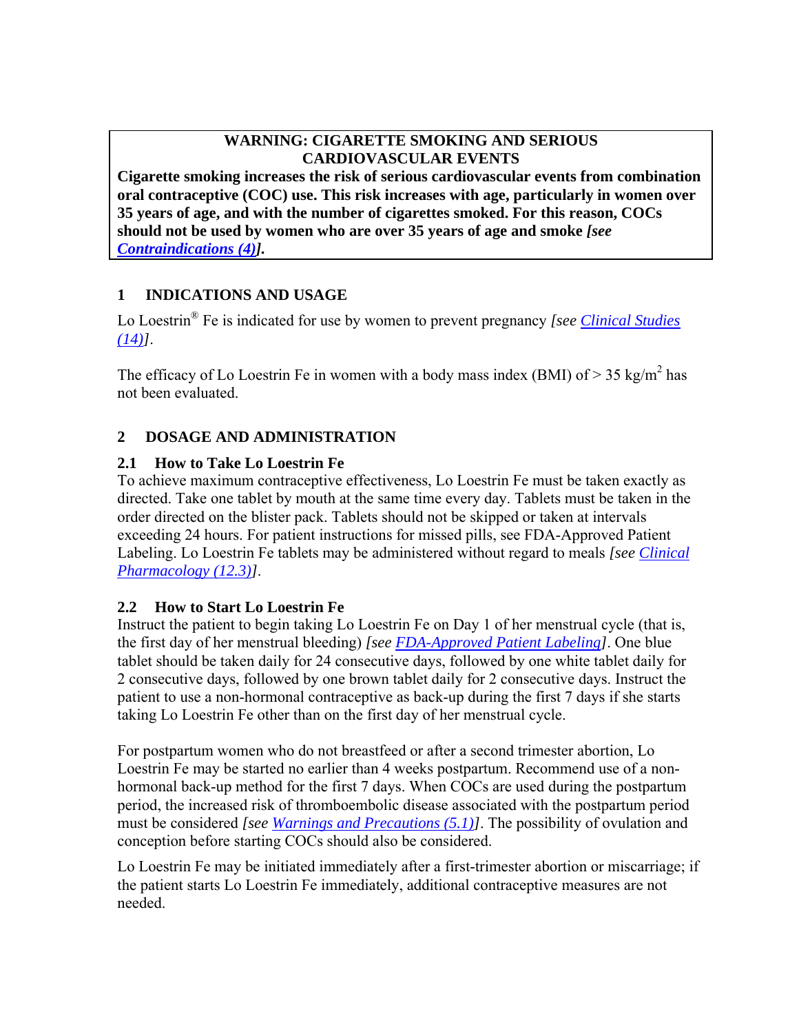# **WARNING: CIGARETTE SMOKING AND SERIOUS CARDIOVASCULAR EVENTS**

**Cigarette smoking increases the risk of serious cardiovascular events from combination oral contraceptive (COC) use. This risk increases with age, particularly in women over 35 years of age, and with the number of cigarettes smoked. For this reason, COCs should not be used by women who are over 35 years of age and smoke** *[see Contraindications (4)].*

# **1 INDICATIONS AND USAGE**

Lo Loestrin® Fe is indicated for use by women to prevent pregnancy *[see Clinical Studies (14)]*.

The efficacy of Lo Loestrin Fe in women with a body mass index (BMI) of  $> 35 \text{ kg/m}^2$  has not been evaluated.

# **2 DOSAGE AND ADMINISTRATION**

# **2.1 How to Take Lo Loestrin Fe**

To achieve maximum contraceptive effectiveness, Lo Loestrin Fe must be taken exactly as directed. Take one tablet by mouth at the same time every day. Tablets must be taken in the order directed on the blister pack. Tablets should not be skipped or taken at intervals exceeding 24 hours. For patient instructions for missed pills, see FDA-Approved Patient Labeling. Lo Loestrin Fe tablets may be administered without regard to meals *[see Clinical Pharmacology (12.3)]*.

# **2.2 How to Start Lo Loestrin Fe**

Instruct the patient to begin taking Lo Loestrin Fe on Day 1 of her menstrual cycle (that is, the first day of her menstrual bleeding) *[see FDA-Approved Patient Labeling]*. One blue tablet should be taken daily for 24 consecutive days, followed by one white tablet daily for 2 consecutive days, followed by one brown tablet daily for 2 consecutive days. Instruct the patient to use a non-hormonal contraceptive as back-up during the first 7 days if she starts taking Lo Loestrin Fe other than on the first day of her menstrual cycle.

For postpartum women who do not breastfeed or after a second trimester abortion, Lo Loestrin Fe may be started no earlier than 4 weeks postpartum. Recommend use of a nonhormonal back-up method for the first 7 days. When COCs are used during the postpartum period, the increased risk of thromboembolic disease associated with the postpartum period must be considered *[see Warnings and Precautions (5.1)]*. The possibility of ovulation and conception before starting COCs should also be considered.

Lo Loestrin Fe may be initiated immediately after a first-trimester abortion or miscarriage; if the patient starts Lo Loestrin Fe immediately, additional contraceptive measures are not needed.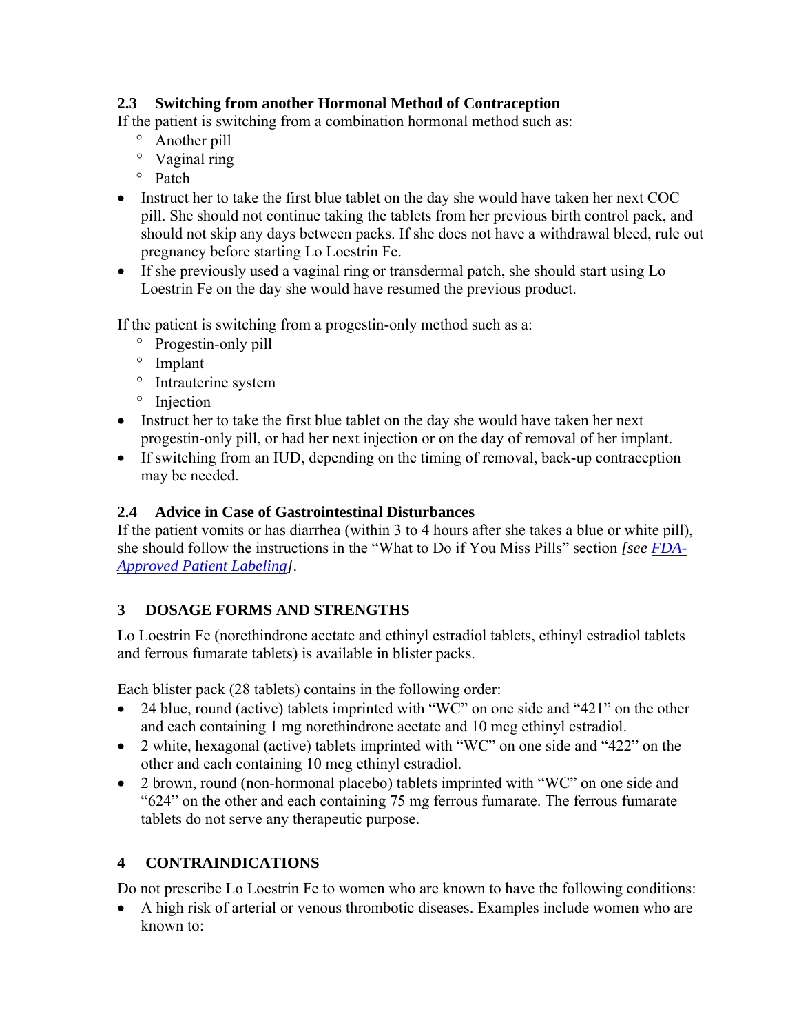# **2.3 Switching from another Hormonal Method of Contraception**

If the patient is switching from a combination hormonal method such as:

- ° Another pill
- ° Vaginal ring
- ° Patch
- Instruct her to take the first blue tablet on the day she would have taken her next COC pill. She should not continue taking the tablets from her previous birth control pack, and should not skip any days between packs. If she does not have a withdrawal bleed, rule out pregnancy before starting Lo Loestrin Fe.
- If she previously used a vaginal ring or transdermal patch, she should start using Lo Loestrin Fe on the day she would have resumed the previous product.

If the patient is switching from a progestin-only method such as a:

- ° Progestin-only pill
- ° Implant
- ° Intrauterine system
- ° Injection
- Instruct her to take the first blue tablet on the day she would have taken her next progestin-only pill, or had her next injection or on the day of removal of her implant.
- If switching from an IUD, depending on the timing of removal, back-up contraception may be needed.

## **2.4 Advice in Case of Gastrointestinal Disturbances**

If the patient vomits or has diarrhea (within 3 to 4 hours after she takes a blue or white pill), she should follow the instructions in the "What to Do if You Miss Pills" section *[see FDA-Approved Patient Labeling]*.

# **3 DOSAGE FORMS AND STRENGTHS**

Lo Loestrin Fe (norethindrone acetate and ethinyl estradiol tablets, ethinyl estradiol tablets and ferrous fumarate tablets) is available in blister packs.

Each blister pack (28 tablets) contains in the following order:

- 24 blue, round (active) tablets imprinted with "WC" on one side and "421" on the other and each containing 1 mg norethindrone acetate and 10 mcg ethinyl estradiol.
- 2 white, hexagonal (active) tablets imprinted with "WC" on one side and "422" on the other and each containing 10 mcg ethinyl estradiol.
- 2 brown, round (non-hormonal placebo) tablets imprinted with "WC" on one side and "624" on the other and each containing 75 mg ferrous fumarate. The ferrous fumarate tablets do not serve any therapeutic purpose.

# **4 CONTRAINDICATIONS**

Do not prescribe Lo Loestrin Fe to women who are known to have the following conditions:

• A high risk of arterial or venous thrombotic diseases. Examples include women who are known to: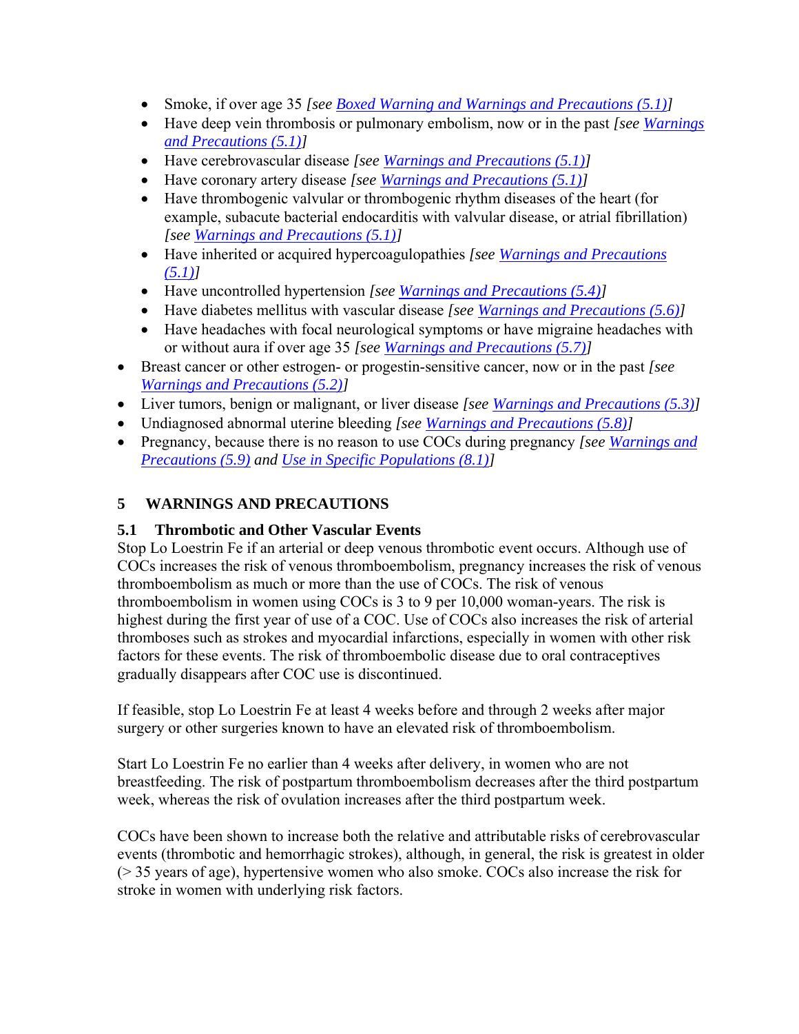- Smoke, if over age 35 *[see <u>Boxed Warning and Warnings and Precautions (5.1)</u>]*
- Have deep vein thrombosis or pulmonary embolism, now or in the past *[see Warnings and Precautions (5.1)]*
- Have cerebrovascular disease *[see Warnings and Precautions (5.1)]*
- Have coronary artery disease *[see Warnings and Precautions (5.1)]*
- Have thrombogenic valvular or thrombogenic rhythm diseases of the heart (for example, subacute bacterial endocarditis with valvular disease, or atrial fibrillation) *[see Warnings and Precautions (5.1)]*
- Have inherited or acquired hypercoagulopathies *[see Warnings and Precautions (5.1)]*
- Have uncontrolled hypertension *[see Warnings and Precautions (5.4)]*
- Have diabetes mellitus with vascular disease *[see Warnings and Precautions (5.6)]*
- Have headaches with focal neurological symptoms or have migraine headaches with or without aura if over age 35 *[see Warnings and Precautions (5.7)]*
- Breast cancer or other estrogen- or progestin-sensitive cancer, now or in the past *[see Warnings and Precautions (5.2)]*
- Liver tumors, benign or malignant, or liver disease *[see Warnings and Precautions (5.3)]*
- Undiagnosed abnormal uterine bleeding *[see Warnings and Precautions (5.8)]*
- Pregnancy, because there is no reason to use COCs during pregnancy *[see Warnings and Precautions (5.9) and Use in Specific Populations (8.1)]*

# **5 WARNINGS AND PRECAUTIONS**

# **5.1 Thrombotic and Other Vascular Events**

Stop Lo Loestrin Fe if an arterial or deep venous thrombotic event occurs. Although use of COCs increases the risk of venous thromboembolism, pregnancy increases the risk of venous thromboembolism as much or more than the use of COCs. The risk of venous thromboembolism in women using COCs is 3 to 9 per 10,000 woman-years. The risk is highest during the first year of use of a COC. Use of COCs also increases the risk of arterial thromboses such as strokes and myocardial infarctions, especially in women with other risk factors for these events. The risk of thromboembolic disease due to oral contraceptives gradually disappears after COC use is discontinued.

If feasible, stop Lo Loestrin Fe at least 4 weeks before and through 2 weeks after major surgery or other surgeries known to have an elevated risk of thromboembolism.

Start Lo Loestrin Fe no earlier than 4 weeks after delivery, in women who are not breastfeeding. The risk of postpartum thromboembolism decreases after the third postpartum week, whereas the risk of ovulation increases after the third postpartum week.

COCs have been shown to increase both the relative and attributable risks of cerebrovascular events (thrombotic and hemorrhagic strokes), although, in general, the risk is greatest in older (> 35 years of age), hypertensive women who also smoke. COCs also increase the risk for stroke in women with underlying risk factors.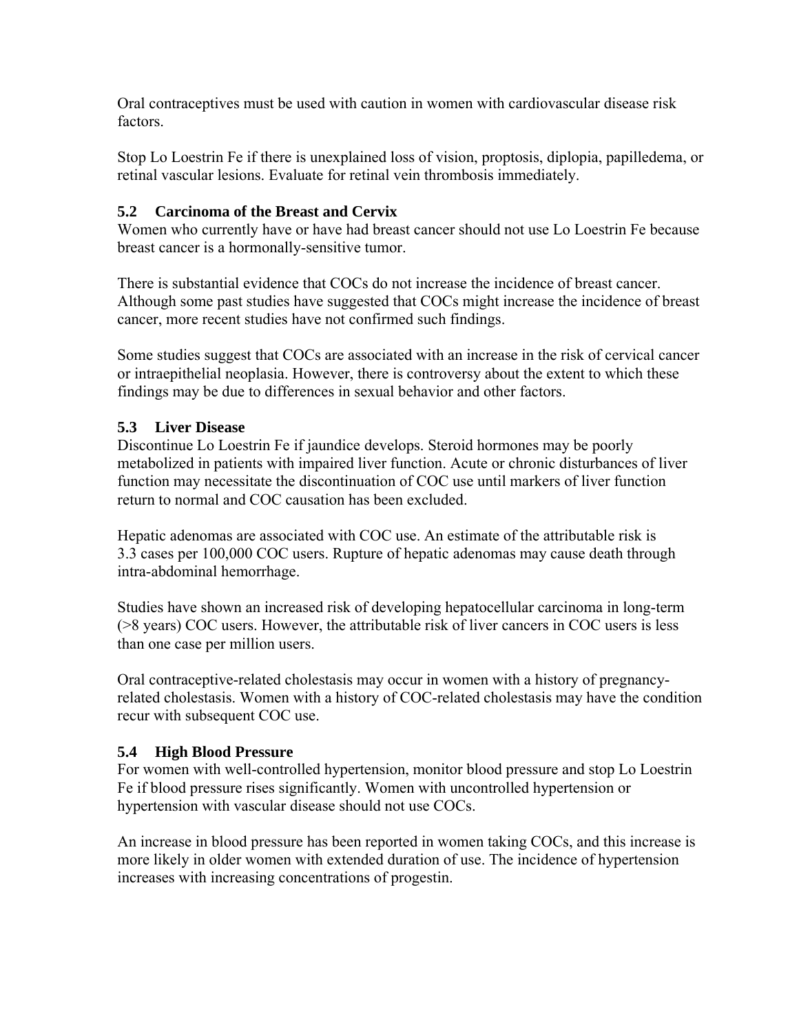Oral contraceptives must be used with caution in women with cardiovascular disease risk factors.

Stop Lo Loestrin Fe if there is unexplained loss of vision, proptosis, diplopia, papilledema, or retinal vascular lesions. Evaluate for retinal vein thrombosis immediately.

## **5.2 Carcinoma of the Breast and Cervix**

Women who currently have or have had breast cancer should not use Lo Loestrin Fe because breast cancer is a hormonally-sensitive tumor.

There is substantial evidence that COCs do not increase the incidence of breast cancer. Although some past studies have suggested that COCs might increase the incidence of breast cancer, more recent studies have not confirmed such findings.

Some studies suggest that COCs are associated with an increase in the risk of cervical cancer or intraepithelial neoplasia. However, there is controversy about the extent to which these findings may be due to differences in sexual behavior and other factors.

## **5.3 Liver Disease**

Discontinue Lo Loestrin Fe if jaundice develops. Steroid hormones may be poorly metabolized in patients with impaired liver function. Acute or chronic disturbances of liver function may necessitate the discontinuation of COC use until markers of liver function return to normal and COC causation has been excluded.

Hepatic adenomas are associated with COC use. An estimate of the attributable risk is 3.3 cases per 100,000 COC users. Rupture of hepatic adenomas may cause death through intra-abdominal hemorrhage.

Studies have shown an increased risk of developing hepatocellular carcinoma in long-term (>8 years) COC users. However, the attributable risk of liver cancers in COC users is less than one case per million users.

Oral contraceptive-related cholestasis may occur in women with a history of pregnancyrelated cholestasis. Women with a history of COC-related cholestasis may have the condition recur with subsequent COC use.

## **5.4 High Blood Pressure**

For women with well-controlled hypertension, monitor blood pressure and stop Lo Loestrin Fe if blood pressure rises significantly. Women with uncontrolled hypertension or hypertension with vascular disease should not use COCs.

An increase in blood pressure has been reported in women taking COCs, and this increase is more likely in older women with extended duration of use. The incidence of hypertension increases with increasing concentrations of progestin.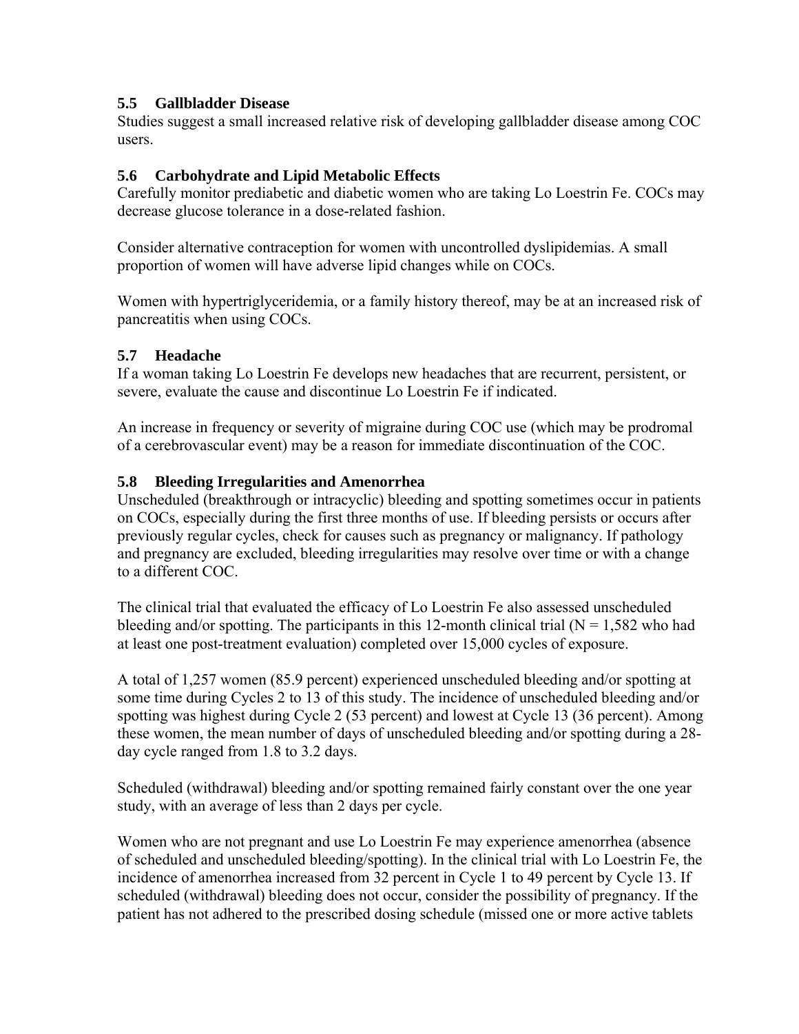## **5.5 Gallbladder Disease**

Studies suggest a small increased relative risk of developing gallbladder disease among COC users.

## **5.6 Carbohydrate and Lipid Metabolic Effects**

Carefully monitor prediabetic and diabetic women who are taking Lo Loestrin Fe. COCs may decrease glucose tolerance in a dose-related fashion.

Consider alternative contraception for women with uncontrolled dyslipidemias. A small proportion of women will have adverse lipid changes while on COCs.

Women with hypertriglyceridemia, or a family history thereof, may be at an increased risk of pancreatitis when using COCs.

## **5.7 Headache**

If a woman taking Lo Loestrin Fe develops new headaches that are recurrent, persistent, or severe, evaluate the cause and discontinue Lo Loestrin Fe if indicated.

An increase in frequency or severity of migraine during COC use (which may be prodromal of a cerebrovascular event) may be a reason for immediate discontinuation of the COC.

## **5.8 Bleeding Irregularities and Amenorrhea**

Unscheduled (breakthrough or intracyclic) bleeding and spotting sometimes occur in patients on COCs, especially during the first three months of use. If bleeding persists or occurs after previously regular cycles, check for causes such as pregnancy or malignancy. If pathology and pregnancy are excluded, bleeding irregularities may resolve over time or with a change to a different COC.

The clinical trial that evaluated the efficacy of Lo Loestrin Fe also assessed unscheduled bleeding and/or spotting. The participants in this 12-month clinical trial  $(N = 1,582)$  who had at least one post-treatment evaluation) completed over 15,000 cycles of exposure.

A total of 1,257 women (85.9 percent) experienced unscheduled bleeding and/or spotting at some time during Cycles 2 to 13 of this study. The incidence of unscheduled bleeding and/or spotting was highest during Cycle 2 (53 percent) and lowest at Cycle 13 (36 percent). Among these women, the mean number of days of unscheduled bleeding and/or spotting during a 28 day cycle ranged from 1.8 to 3.2 days.

Scheduled (withdrawal) bleeding and/or spotting remained fairly constant over the one year study, with an average of less than 2 days per cycle.

Women who are not pregnant and use Lo Loestrin Fe may experience amenorrhea (absence of scheduled and unscheduled bleeding/spotting). In the clinical trial with Lo Loestrin Fe, the incidence of amenorrhea increased from 32 percent in Cycle 1 to 49 percent by Cycle 13. If scheduled (withdrawal) bleeding does not occur, consider the possibility of pregnancy. If the patient has not adhered to the prescribed dosing schedule (missed one or more active tablets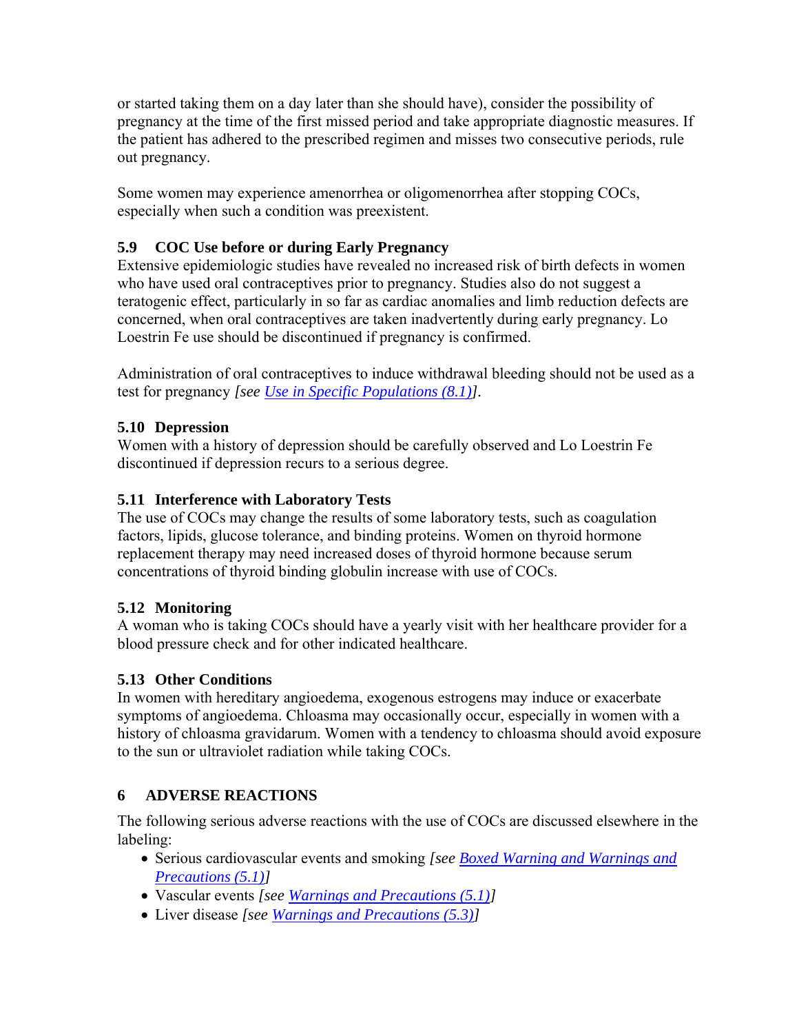or started taking them on a day later than she should have), consider the possibility of pregnancy at the time of the first missed period and take appropriate diagnostic measures. If the patient has adhered to the prescribed regimen and misses two consecutive periods, rule out pregnancy.

Some women may experience amenorrhea or oligomenorrhea after stopping COCs, especially when such a condition was preexistent.

# **5.9 COC Use before or during Early Pregnancy**

Extensive epidemiologic studies have revealed no increased risk of birth defects in women who have used oral contraceptives prior to pregnancy. Studies also do not suggest a teratogenic effect, particularly in so far as cardiac anomalies and limb reduction defects are concerned, when oral contraceptives are taken inadvertently during early pregnancy. Lo Loestrin Fe use should be discontinued if pregnancy is confirmed.

Administration of oral contraceptives to induce withdrawal bleeding should not be used as a test for pregnancy *[see Use in Specific Populations (8.1)].* 

## **5.10 Depression**

Women with a history of depression should be carefully observed and Lo Loestrin Fe discontinued if depression recurs to a serious degree.

## **5.11 Interference with Laboratory Tests**

The use of COCs may change the results of some laboratory tests, such as coagulation factors, lipids, glucose tolerance, and binding proteins. Women on thyroid hormone replacement therapy may need increased doses of thyroid hormone because serum concentrations of thyroid binding globulin increase with use of COCs.

## **5.12 Monitoring**

A woman who is taking COCs should have a yearly visit with her healthcare provider for a blood pressure check and for other indicated healthcare.

## **5.13 Other Conditions**

In women with hereditary angioedema, exogenous estrogens may induce or exacerbate symptoms of angioedema. Chloasma may occasionally occur, especially in women with a history of chloasma gravidarum. Women with a tendency to chloasma should avoid exposure to the sun or ultraviolet radiation while taking COCs.

# **6 ADVERSE REACTIONS**

The following serious adverse reactions with the use of COCs are discussed elsewhere in the labeling:

- Serious cardiovascular events and smoking *[see Boxed Warning and Warnings and Precautions (5.1)]*
- Vascular events *[see Warnings and Precautions (5.1)]*
- Liver disease *[see Warnings and Precautions (5.3)]*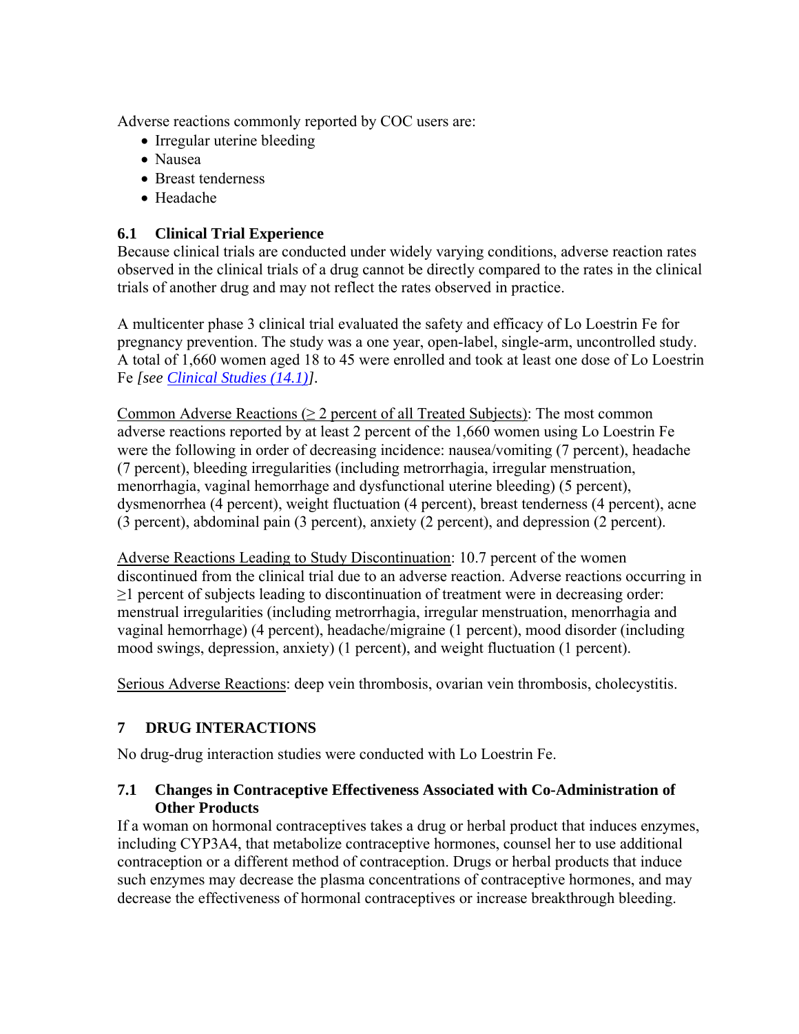Adverse reactions commonly reported by COC users are:

- Irregular uterine bleeding
- Nausea
- Breast tenderness
- Headache

## **6.1 Clinical Trial Experience**

Because clinical trials are conducted under widely varying conditions, adverse reaction rates observed in the clinical trials of a drug cannot be directly compared to the rates in the clinical trials of another drug and may not reflect the rates observed in practice.

A multicenter phase 3 clinical trial evaluated the safety and efficacy of Lo Loestrin Fe for pregnancy prevention. The study was a one year, open-label, single-arm, uncontrolled study. A total of 1,660 women aged 18 to 45 were enrolled and took at least one dose of Lo Loestrin Fe *[see Clinical Studies (14.1)].*

Common Adverse Reactions ( $\geq 2$  percent of all Treated Subjects): The most common adverse reactions reported by at least 2 percent of the 1,660 women using Lo Loestrin Fe were the following in order of decreasing incidence: nausea/vomiting (7 percent), headache (7 percent), bleeding irregularities (including metrorrhagia, irregular menstruation, menorrhagia, vaginal hemorrhage and dysfunctional uterine bleeding) (5 percent), dysmenorrhea (4 percent), weight fluctuation (4 percent), breast tenderness (4 percent), acne (3 percent), abdominal pain (3 percent), anxiety (2 percent), and depression (2 percent).

Adverse Reactions Leading to Study Discontinuation: 10.7 percent of the women discontinued from the clinical trial due to an adverse reaction. Adverse reactions occurring in  $\geq$ 1 percent of subjects leading to discontinuation of treatment were in decreasing order: menstrual irregularities (including metrorrhagia, irregular menstruation, menorrhagia and vaginal hemorrhage) (4 percent), headache/migraine (1 percent), mood disorder (including mood swings, depression, anxiety) (1 percent), and weight fluctuation (1 percent).

Serious Adverse Reactions: deep vein thrombosis, ovarian vein thrombosis, cholecystitis.

# **7 DRUG INTERACTIONS**

No drug-drug interaction studies were conducted with Lo Loestrin Fe.

## **7.1 Changes in Contraceptive Effectiveness Associated with Co-Administration of Other Products**

If a woman on hormonal contraceptives takes a drug or herbal product that induces enzymes, including CYP3A4, that metabolize contraceptive hormones, counsel her to use additional contraception or a different method of contraception. Drugs or herbal products that induce such enzymes may decrease the plasma concentrations of contraceptive hormones, and may decrease the effectiveness of hormonal contraceptives or increase breakthrough bleeding.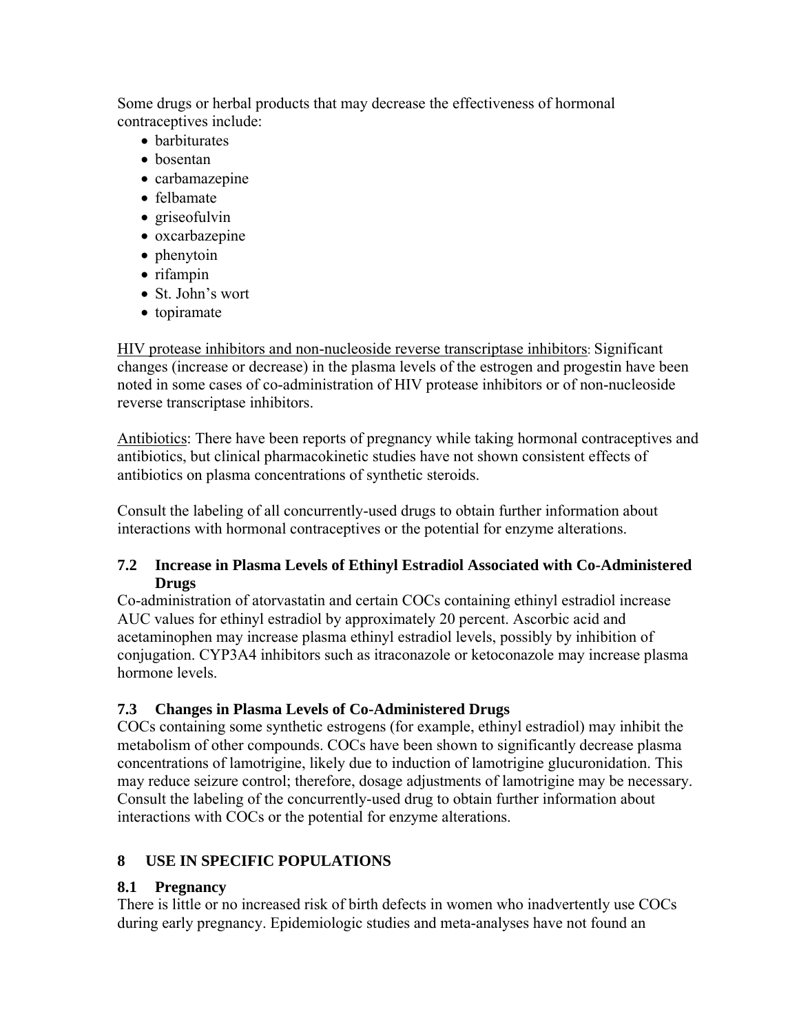Some drugs or herbal products that may decrease the effectiveness of hormonal contraceptives include:

- barbiturates
- bosentan
- carbamazepine
- felbamate
- griseofulvin
- oxcarbazepine
- phenytoin
- rifampin
- St. John's wort
- topiramate

HIV protease inhibitors and non-nucleoside reverse transcriptase inhibitors: Significant changes (increase or decrease) in the plasma levels of the estrogen and progestin have been noted in some cases of co-administration of HIV protease inhibitors or of non-nucleoside reverse transcriptase inhibitors.

Antibiotics: There have been reports of pregnancy while taking hormonal contraceptives and antibiotics, but clinical pharmacokinetic studies have not shown consistent effects of antibiotics on plasma concentrations of synthetic steroids.

Consult the labeling of all concurrently-used drugs to obtain further information about interactions with hormonal contraceptives or the potential for enzyme alterations.

## **7.2 Increase in Plasma Levels of Ethinyl Estradiol Associated with Co-Administered Drugs**

Co-administration of atorvastatin and certain COCs containing ethinyl estradiol increase AUC values for ethinyl estradiol by approximately 20 percent. Ascorbic acid and acetaminophen may increase plasma ethinyl estradiol levels, possibly by inhibition of conjugation. CYP3A4 inhibitors such as itraconazole or ketoconazole may increase plasma hormone levels.

# **7.3 Changes in Plasma Levels of Co-Administered Drugs**

COCs containing some synthetic estrogens (for example, ethinyl estradiol) may inhibit the metabolism of other compounds. COCs have been shown to significantly decrease plasma concentrations of lamotrigine, likely due to induction of lamotrigine glucuronidation. This may reduce seizure control; therefore, dosage adjustments of lamotrigine may be necessary. Consult the labeling of the concurrently-used drug to obtain further information about interactions with COCs or the potential for enzyme alterations.

# **8 USE IN SPECIFIC POPULATIONS**

# **8.1 Pregnancy**

There is little or no increased risk of birth defects in women who inadvertently use COCs during early pregnancy. Epidemiologic studies and meta-analyses have not found an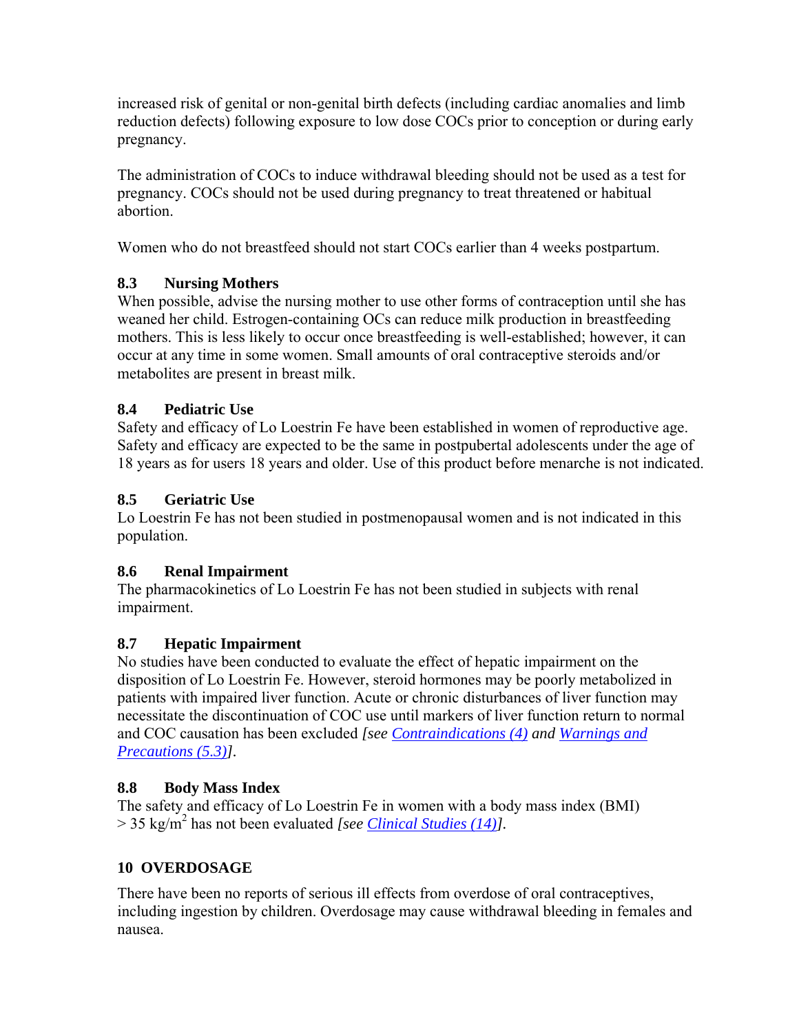increased risk of genital or non-genital birth defects (including cardiac anomalies and limb reduction defects) following exposure to low dose COCs prior to conception or during early pregnancy.

The administration of COCs to induce withdrawal bleeding should not be used as a test for pregnancy. COCs should not be used during pregnancy to treat threatened or habitual abortion.

Women who do not breastfeed should not start COCs earlier than 4 weeks postpartum.

# **8.3 Nursing Mothers**

When possible, advise the nursing mother to use other forms of contraception until she has weaned her child. Estrogen-containing OCs can reduce milk production in breastfeeding mothers. This is less likely to occur once breastfeeding is well-established; however, it can occur at any time in some women. Small amounts of oral contraceptive steroids and/or metabolites are present in breast milk.

# **8.4 Pediatric Use**

Safety and efficacy of Lo Loestrin Fe have been established in women of reproductive age. Safety and efficacy are expected to be the same in postpubertal adolescents under the age of 18 years as for users 18 years and older. Use of this product before menarche is not indicated.

# **8.5 Geriatric Use**

Lo Loestrin Fe has not been studied in postmenopausal women and is not indicated in this population.

# **8.6 Renal Impairment**

The pharmacokinetics of Lo Loestrin Fe has not been studied in subjects with renal impairment.

# **8.7 Hepatic Impairment**

No studies have been conducted to evaluate the effect of hepatic impairment on the disposition of Lo Loestrin Fe. However, steroid hormones may be poorly metabolized in patients with impaired liver function. Acute or chronic disturbances of liver function may necessitate the discontinuation of COC use until markers of liver function return to normal and COC causation has been excluded *[see Contraindications (4) and Warnings and Precautions (5.3)].* 

# **8.8 Body Mass Index**

The safety and efficacy of Lo Loestrin Fe in women with a body mass index (BMI) > 35 kg/m2 has not been evaluated *[see Clinical Studies (14)].*

# **10 OVERDOSAGE**

There have been no reports of serious ill effects from overdose of oral contraceptives, including ingestion by children. Overdosage may cause withdrawal bleeding in females and nausea.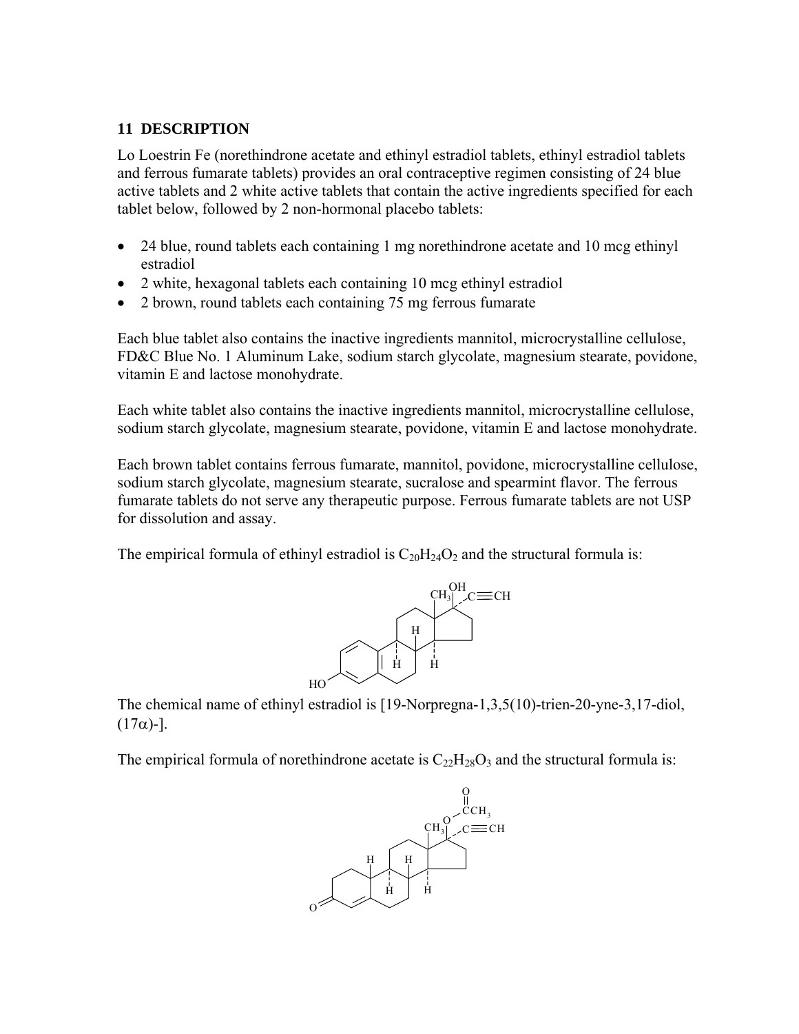## **11 DESCRIPTION**

Lo Loestrin Fe (norethindrone acetate and ethinyl estradiol tablets, ethinyl estradiol tablets and ferrous fumarate tablets) provides an oral contraceptive regimen consisting of 24 blue active tablets and 2 white active tablets that contain the active ingredients specified for each tablet below, followed by 2 non-hormonal placebo tablets:

- 24 blue, round tablets each containing 1 mg norethindrone acetate and 10 mcg ethinyl estradiol
- 2 white, hexagonal tablets each containing 10 mcg ethinyl estradiol
- 2 brown, round tablets each containing 75 mg ferrous fumarate

Each blue tablet also contains the inactive ingredients mannitol, microcrystalline cellulose, FD&C Blue No. 1 Aluminum Lake, sodium starch glycolate, magnesium stearate, povidone, vitamin E and lactose monohydrate.

Each white tablet also contains the inactive ingredients mannitol, microcrystalline cellulose, sodium starch glycolate, magnesium stearate, povidone, vitamin E and lactose monohydrate.

Each brown tablet contains ferrous fumarate, mannitol, povidone, microcrystalline cellulose, sodium starch glycolate, magnesium stearate, sucralose and spearmint flavor. The ferrous fumarate tablets do not serve any therapeutic purpose. Ferrous fumarate tablets are not USP for dissolution and assay.

The empirical formula of ethinyl estradiol is  $C_{20}H_{24}O_2$  and the structural formula is:



The chemical name of ethinyl estradiol is [19-Norpregna-1,3,5(10)-trien-20-yne-3,17-diol, (17α)-].

The empirical formula of norethindrone acetate is  $C_{22}H_{28}O_3$  and the structural formula is:

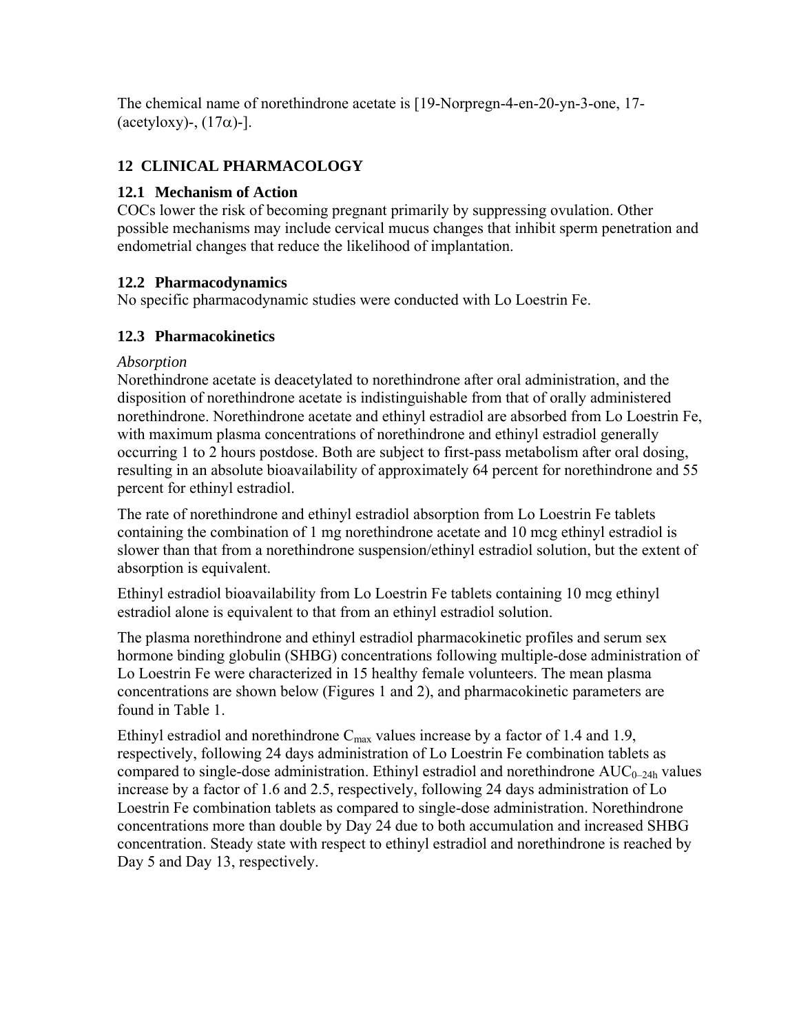The chemical name of norethindrone acetate is [19-Norpregn-4-en-20-yn-3-one, 17- (acetyloxy)-,  $(17\alpha)$ -].

# **12 CLINICAL PHARMACOLOGY**

## **12.1 Mechanism of Action**

COCs lower the risk of becoming pregnant primarily by suppressing ovulation. Other possible mechanisms may include cervical mucus changes that inhibit sperm penetration and endometrial changes that reduce the likelihood of implantation.

## **12.2 Pharmacodynamics**

No specific pharmacodynamic studies were conducted with Lo Loestrin Fe.

# **12.3 Pharmacokinetics**

## *Absorption*

Norethindrone acetate is deacetylated to norethindrone after oral administration, and the disposition of norethindrone acetate is indistinguishable from that of orally administered norethindrone. Norethindrone acetate and ethinyl estradiol are absorbed from Lo Loestrin Fe, with maximum plasma concentrations of norethindrone and ethinyl estradiol generally occurring 1 to 2 hours postdose. Both are subject to first-pass metabolism after oral dosing, resulting in an absolute bioavailability of approximately 64 percent for norethindrone and 55 percent for ethinyl estradiol.

The rate of norethindrone and ethinyl estradiol absorption from Lo Loestrin Fe tablets containing the combination of 1 mg norethindrone acetate and 10 mcg ethinyl estradiol is slower than that from a norethindrone suspension/ethinyl estradiol solution, but the extent of absorption is equivalent.

Ethinyl estradiol bioavailability from Lo Loestrin Fe tablets containing 10 mcg ethinyl estradiol alone is equivalent to that from an ethinyl estradiol solution.

The plasma norethindrone and ethinyl estradiol pharmacokinetic profiles and serum sex hormone binding globulin (SHBG) concentrations following multiple-dose administration of Lo Loestrin Fe were characterized in 15 healthy female volunteers. The mean plasma concentrations are shown below (Figures 1 and 2), and pharmacokinetic parameters are found in Table 1.

Ethinyl estradiol and norethindrone  $C_{\text{max}}$  values increase by a factor of 1.4 and 1.9, respectively, following 24 days administration of Lo Loestrin Fe combination tablets as compared to single-dose administration. Ethinyl estradiol and norethindrone  $AUC_{0-24h}$  values increase by a factor of 1.6 and 2.5, respectively, following 24 days administration of Lo Loestrin Fe combination tablets as compared to single-dose administration. Norethindrone concentrations more than double by Day 24 due to both accumulation and increased SHBG concentration. Steady state with respect to ethinyl estradiol and norethindrone is reached by Day 5 and Day 13, respectively.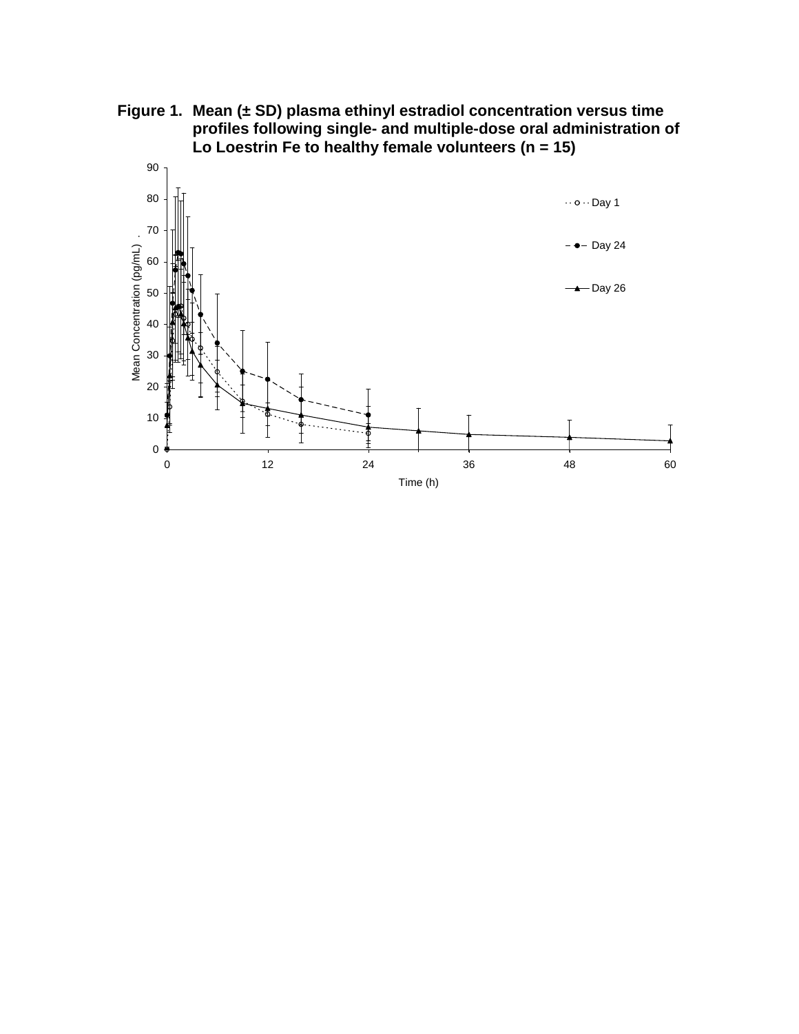**Figure 1. Mean (± SD) plasma ethinyl estradiol concentration versus time profiles following single- and multiple-dose oral administration of Lo Loestrin Fe to healthy female volunteers (n = 15)** 

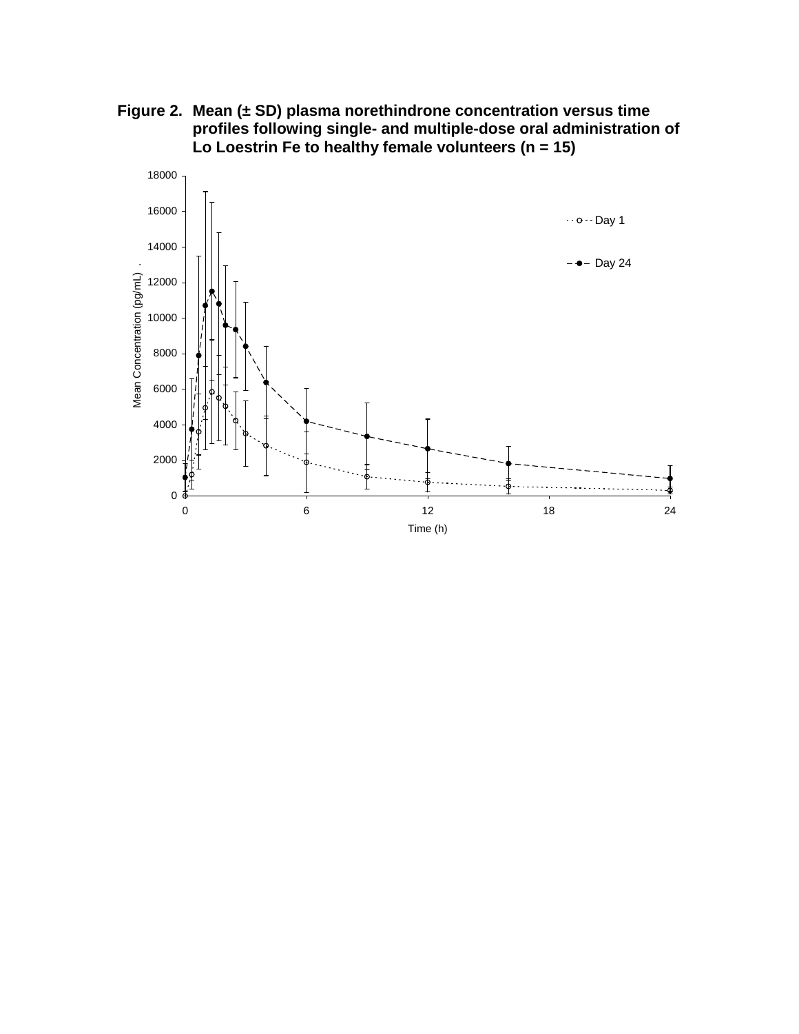**Figure 2. Mean (± SD) plasma norethindrone concentration versus time profiles following single- and multiple-dose oral administration of Lo Loestrin Fe to healthy female volunteers (n = 15)** 

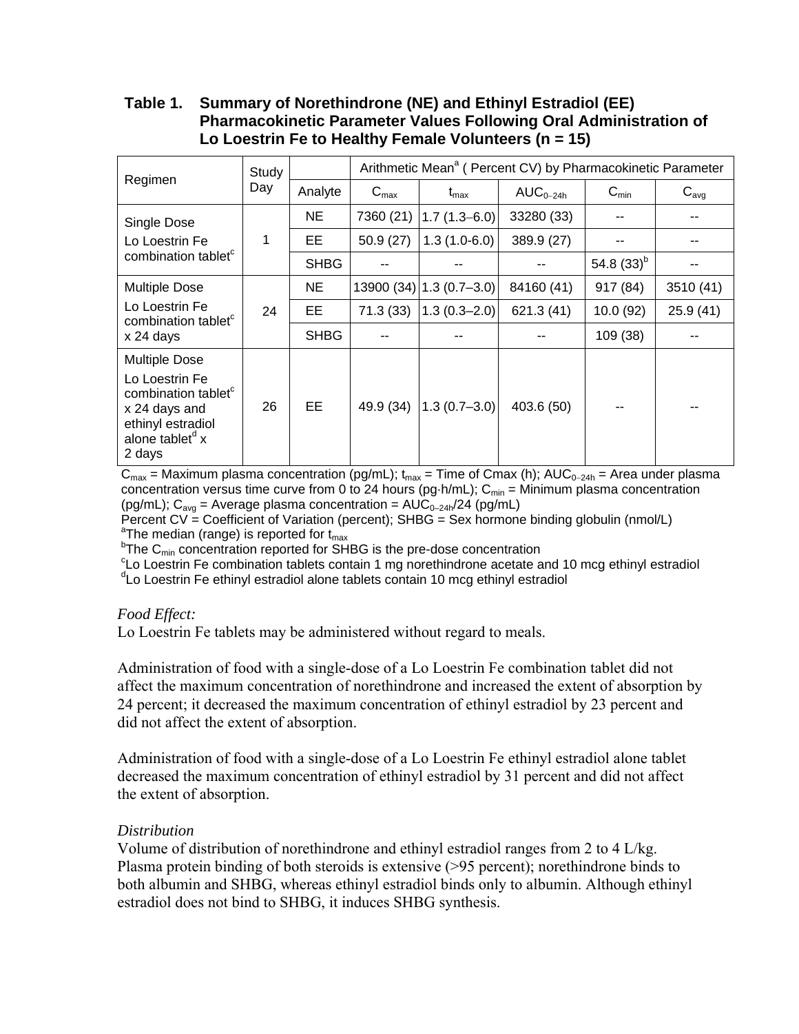## **Table 1. Summary of Norethindrone (NE) and Ethinyl Estradiol (EE) Pharmacokinetic Parameter Values Following Oral Administration of Lo Loestrin Fe to Healthy Female Volunteers (n = 15)**

| Regimen                                                                                                                                                  | Study<br>Day |             | Arithmetic Mean <sup>a</sup> (Percent CV) by Pharmacokinetic Parameter |                             |               |                  |           |
|----------------------------------------------------------------------------------------------------------------------------------------------------------|--------------|-------------|------------------------------------------------------------------------|-----------------------------|---------------|------------------|-----------|
|                                                                                                                                                          |              | Analyte     | $C_{\text{max}}$                                                       | $\mathsf{t}_{\mathsf{max}}$ | $AUC_{0-24h}$ | $C_{\text{min}}$ | $C_{avg}$ |
| Single Dose<br>Lo Loestrin Fe<br>combination tablet <sup>c</sup>                                                                                         | 1            | <b>NE</b>   | 7360 (21)                                                              | $1.7(1.3-6.0)$              | 33280 (33)    |                  |           |
|                                                                                                                                                          |              | EE.         | 50.9(27)                                                               | $1.3(1.0-6.0)$              | 389.9 (27)    |                  |           |
|                                                                                                                                                          |              | <b>SHBG</b> |                                                                        |                             |               | 54.8 $(33)^{b}$  |           |
| <b>Multiple Dose</b>                                                                                                                                     | 24           | <b>NE</b>   |                                                                        | 13900 (34) 1.3 (0.7–3.0)    | 84160 (41)    | 917 (84)         | 3510 (41) |
| Lo Loestrin Fe<br>combination tablet<br>x 24 days                                                                                                        |              | EE.         | 71.3(33)                                                               | $1.3(0.3 - 2.0)$            | 621.3 (41)    | 10.0 (92)        | 25.9(41)  |
|                                                                                                                                                          |              | <b>SHBG</b> |                                                                        |                             |               | 109 (38)         |           |
| <b>Multiple Dose</b><br>Lo Loestrin Fe<br>combination tablet <sup>c</sup><br>x 24 days and<br>ethinyl estradiol<br>alone tablet <sup>d</sup> x<br>2 days | 26           | EE.         | 49.9 (34)                                                              | $1.3(0.7 - 3.0)$            | 403.6 (50)    |                  |           |

 $C_{\text{max}}$  = Maximum plasma concentration (pg/mL); t<sub>max</sub> = Time of Cmax (h); AUC<sub>0−24h</sub> = Area under plasma concentration versus time curve from 0 to 24 hours (pg-h/mL);  $C_{\text{min}} =$  Minimum plasma concentration (pg/mL);  $C_{avg}$  = Average plasma concentration =  $AUC_{0-24h}/24$  (pg/mL)

Percent CV = Coefficient of Variation (percent); SHBG = Sex hormone binding globulin (nmol/L) <sup>a</sup>The median (range) is reported for  $t_{max}$ <br> $h_{\text{The}} C$  appropriation reported for SH

 $P$ The C<sub>min</sub> concentration reported for SHBG is the pre-dose concentration

 $c<sup>c</sup>$ Lo Loestrin Fe combination tablets contain 1 mg norethindrone acetate and 10 mcg ethinyl estradiol

<sup>d</sup>Lo Loestrin Fe ethinyl estradiol alone tablets contain 10 mcg ethinyl estradiol

## *Food Effect:*

Lo Loestrin Fe tablets may be administered without regard to meals.

Administration of food with a single-dose of a Lo Loestrin Fe combination tablet did not affect the maximum concentration of norethindrone and increased the extent of absorption by 24 percent; it decreased the maximum concentration of ethinyl estradiol by 23 percent and did not affect the extent of absorption.

Administration of food with a single-dose of a Lo Loestrin Fe ethinyl estradiol alone tablet decreased the maximum concentration of ethinyl estradiol by 31 percent and did not affect the extent of absorption.

## *Distribution*

Volume of distribution of norethindrone and ethinyl estradiol ranges from 2 to 4 L/kg. Plasma protein binding of both steroids is extensive (>95 percent); norethindrone binds to both albumin and SHBG, whereas ethinyl estradiol binds only to albumin. Although ethinyl estradiol does not bind to SHBG, it induces SHBG synthesis.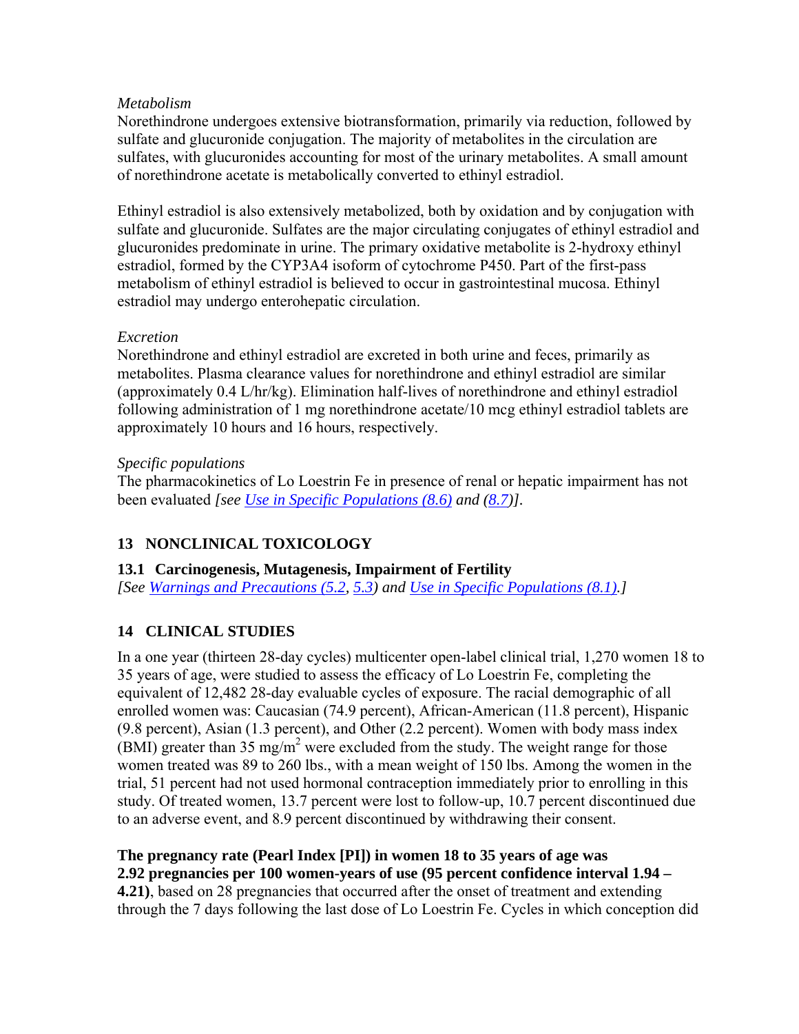## *Metabolism*

Norethindrone undergoes extensive biotransformation, primarily via reduction, followed by sulfate and glucuronide conjugation. The majority of metabolites in the circulation are sulfates, with glucuronides accounting for most of the urinary metabolites. A small amount of norethindrone acetate is metabolically converted to ethinyl estradiol.

Ethinyl estradiol is also extensively metabolized, both by oxidation and by conjugation with sulfate and glucuronide. Sulfates are the major circulating conjugates of ethinyl estradiol and glucuronides predominate in urine. The primary oxidative metabolite is 2-hydroxy ethinyl estradiol, formed by the CYP3A4 isoform of cytochrome P450. Part of the first-pass metabolism of ethinyl estradiol is believed to occur in gastrointestinal mucosa. Ethinyl estradiol may undergo enterohepatic circulation.

## *Excretion*

Norethindrone and ethinyl estradiol are excreted in both urine and feces, primarily as metabolites. Plasma clearance values for norethindrone and ethinyl estradiol are similar (approximately 0.4 L/hr/kg). Elimination half-lives of norethindrone and ethinyl estradiol following administration of 1 mg norethindrone acetate/10 mcg ethinyl estradiol tablets are approximately 10 hours and 16 hours, respectively.

## *Specific populations*

The pharmacokinetics of Lo Loestrin Fe in presence of renal or hepatic impairment has not been evaluated *[see Use in Specific Populations (8.6) and (8.7)].*

# **13 NONCLINICAL TOXICOLOGY**

## **13.1 Carcinogenesis, Mutagenesis, Impairment of Fertility**

*[See Warnings and Precautions (5.2, 5.3) and Use in Specific Populations (8.1).]*

# **14 CLINICAL STUDIES**

In a one year (thirteen 28-day cycles) multicenter open-label clinical trial, 1,270 women 18 to 35 years of age, were studied to assess the efficacy of Lo Loestrin Fe, completing the equivalent of 12,482 28-day evaluable cycles of exposure. The racial demographic of all enrolled women was: Caucasian (74.9 percent), African-American (11.8 percent), Hispanic (9.8 percent), Asian (1.3 percent), and Other (2.2 percent). Women with body mass index  $(BMI)$  greater than 35 mg/m<sup>2</sup> were excluded from the study. The weight range for those women treated was 89 to 260 lbs., with a mean weight of 150 lbs. Among the women in the trial, 51 percent had not used hormonal contraception immediately prior to enrolling in this study. Of treated women, 13.7 percent were lost to follow-up, 10.7 percent discontinued due to an adverse event, and 8.9 percent discontinued by withdrawing their consent.

# **The pregnancy rate (Pearl Index [PI]) in women 18 to 35 years of age was**

**2.92 pregnancies per 100 women-years of use (95 percent confidence interval 1.94 –** 

**4.21)**, based on 28 pregnancies that occurred after the onset of treatment and extending through the 7 days following the last dose of Lo Loestrin Fe. Cycles in which conception did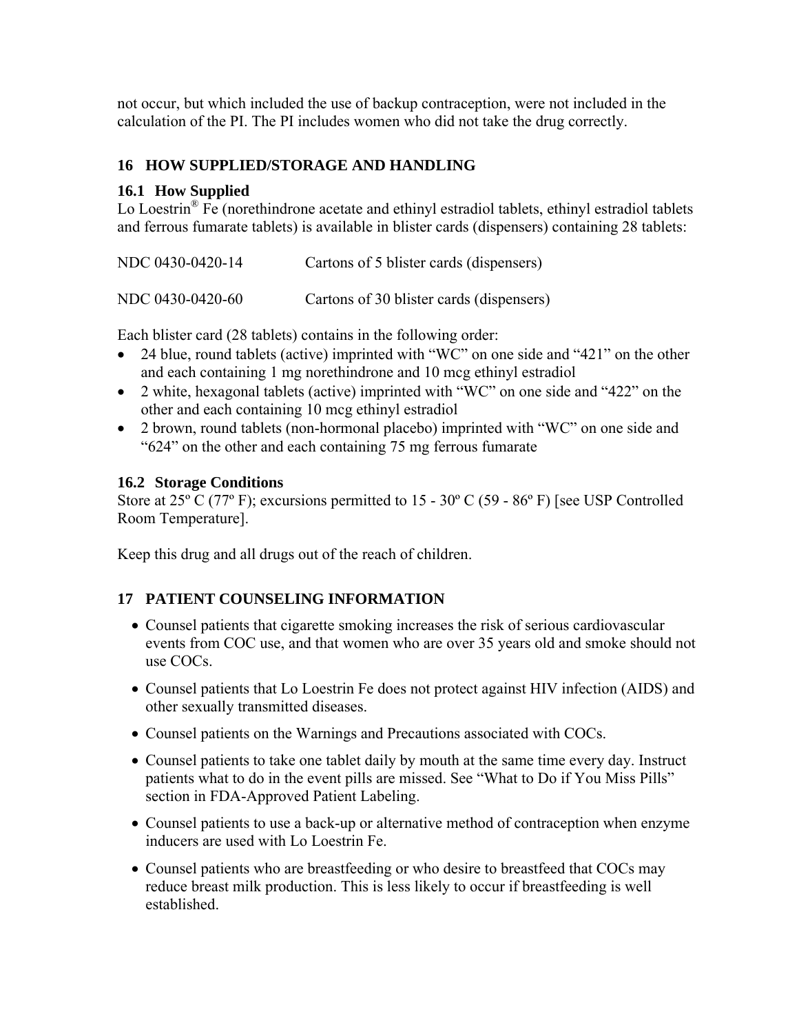not occur, but which included the use of backup contraception, were not included in the calculation of the PI. The PI includes women who did not take the drug correctly.

## **16 HOW SUPPLIED/STORAGE AND HANDLING**

## **16.1 How Supplied**

Lo Loestrin<sup>®</sup> Fe (norethindrone acetate and ethinyl estradiol tablets, ethinyl estradiol tablets and ferrous fumarate tablets) is available in blister cards (dispensers) containing 28 tablets:

| NDC 0430-0420-14 | Cartons of 5 blister cards (dispensers)  |
|------------------|------------------------------------------|
| NDC 0430-0420-60 | Cartons of 30 blister cards (dispensers) |

Each blister card (28 tablets) contains in the following order:

- 24 blue, round tablets (active) imprinted with "WC" on one side and "421" on the other and each containing 1 mg norethindrone and 10 mcg ethinyl estradiol
- 2 white, hexagonal tablets (active) imprinted with "WC" on one side and "422" on the other and each containing 10 mcg ethinyl estradiol
- 2 brown, round tablets (non-hormonal placebo) imprinted with "WC" on one side and "624" on the other and each containing 75 mg ferrous fumarate

## **16.2 Storage Conditions**

Store at 25<sup>°</sup> C (77<sup>°</sup> F); excursions permitted to 15 - 30<sup>°</sup> C (59 - 86<sup>°</sup> F) [see USP Controlled Room Temperature].

Keep this drug and all drugs out of the reach of children.

## **17 PATIENT COUNSELING INFORMATION**

- Counsel patients that cigarette smoking increases the risk of serious cardiovascular events from COC use, and that women who are over 35 years old and smoke should not use COCs.
- Counsel patients that Lo Loestrin Fe does not protect against HIV infection (AIDS) and other sexually transmitted diseases.
- Counsel patients on the Warnings and Precautions associated with COCs.
- Counsel patients to take one tablet daily by mouth at the same time every day. Instruct patients what to do in the event pills are missed. See "What to Do if You Miss Pills" section in FDA-Approved Patient Labeling.
- Counsel patients to use a back-up or alternative method of contraception when enzyme inducers are used with Lo Loestrin Fe.
- Counsel patients who are breastfeeding or who desire to breastfeed that COCs may reduce breast milk production. This is less likely to occur if breastfeeding is well established.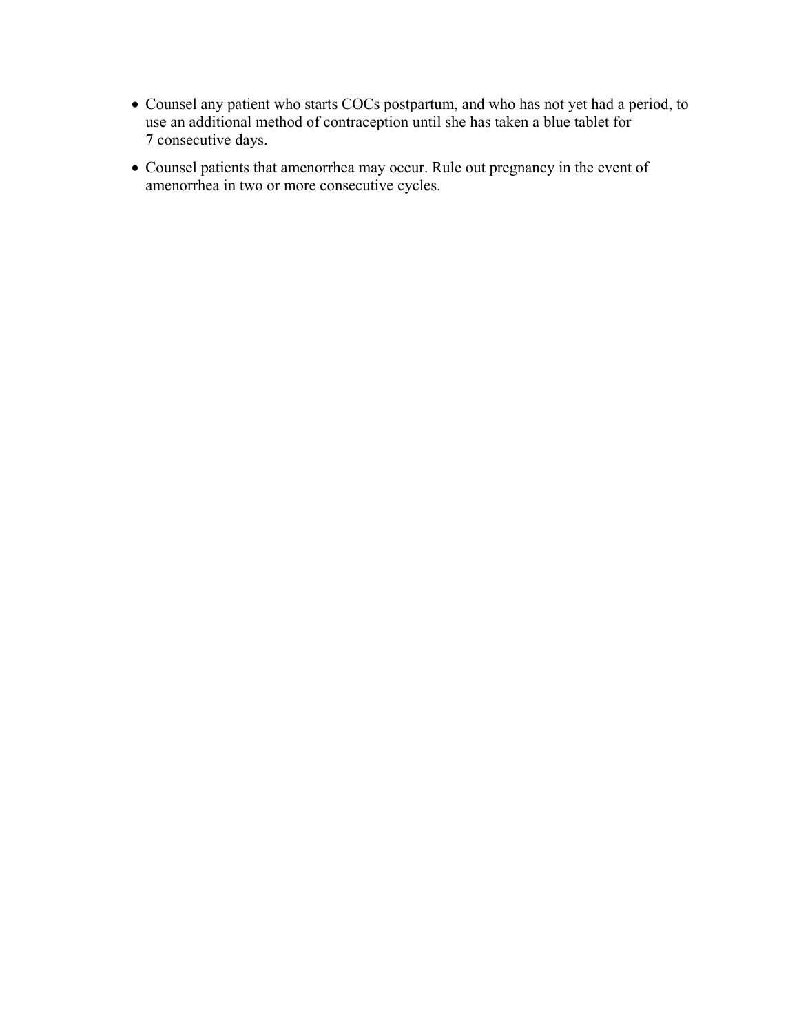- Counsel any patient who starts COCs postpartum, and who has not yet had a period, to use an additional method of contraception until she has taken a blue tablet for 7 consecutive days.
- Counsel patients that amenorrhea may occur. Rule out pregnancy in the event of amenorrhea in two or more consecutive cycles.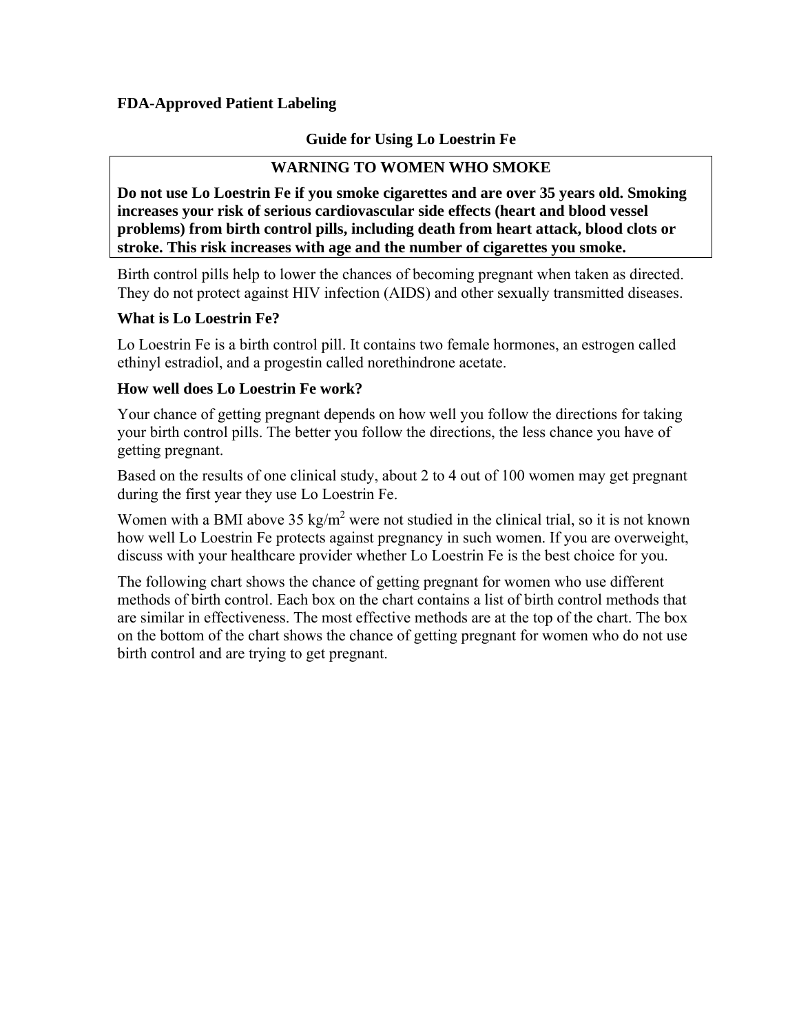## **FDA-Approved Patient Labeling**

## **Guide for Using Lo Loestrin Fe**

## **WARNING TO WOMEN WHO SMOKE**

**Do not use Lo Loestrin Fe if you smoke cigarettes and are over 35 years old. Smoking increases your risk of serious cardiovascular side effects (heart and blood vessel problems) from birth control pills, including death from heart attack, blood clots or stroke. This risk increases with age and the number of cigarettes you smoke.** 

Birth control pills help to lower the chances of becoming pregnant when taken as directed. They do not protect against HIV infection (AIDS) and other sexually transmitted diseases.

### **What is Lo Loestrin Fe?**

Lo Loestrin Fe is a birth control pill. It contains two female hormones, an estrogen called ethinyl estradiol, and a progestin called norethindrone acetate.

### **How well does Lo Loestrin Fe work?**

Your chance of getting pregnant depends on how well you follow the directions for taking your birth control pills. The better you follow the directions, the less chance you have of getting pregnant.

Based on the results of one clinical study, about 2 to 4 out of 100 women may get pregnant during the first year they use Lo Loestrin Fe.

Women with a BMI above  $35 \text{ kg/m}^2$  were not studied in the clinical trial, so it is not known how well Lo Loestrin Fe protects against pregnancy in such women. If you are overweight, discuss with your healthcare provider whether Lo Loestrin Fe is the best choice for you.

The following chart shows the chance of getting pregnant for women who use different methods of birth control. Each box on the chart contains a list of birth control methods that are similar in effectiveness. The most effective methods are at the top of the chart. The box on the bottom of the chart shows the chance of getting pregnant for women who do not use birth control and are trying to get pregnant.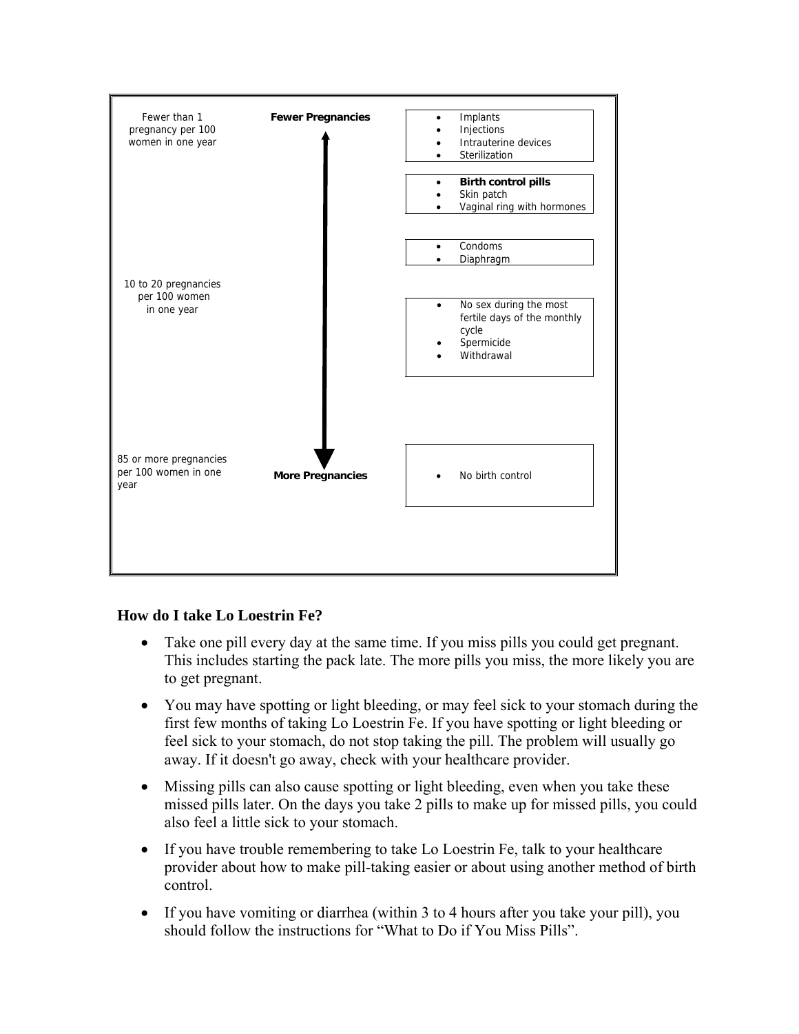

## **How do I take Lo Loestrin Fe?**

- Take one pill every day at the same time. If you miss pills you could get pregnant. This includes starting the pack late. The more pills you miss, the more likely you are to get pregnant.
- You may have spotting or light bleeding, or may feel sick to your stomach during the first few months of taking Lo Loestrin Fe. If you have spotting or light bleeding or feel sick to your stomach, do not stop taking the pill. The problem will usually go away. If it doesn't go away, check with your healthcare provider.
- Missing pills can also cause spotting or light bleeding, even when you take these missed pills later. On the days you take 2 pills to make up for missed pills, you could also feel a little sick to your stomach.
- If you have trouble remembering to take Lo Loestrin Fe, talk to your healthcare provider about how to make pill-taking easier or about using another method of birth control.
- If you have vomiting or diarrhea (within 3 to 4 hours after you take your pill), you should follow the instructions for "What to Do if You Miss Pills".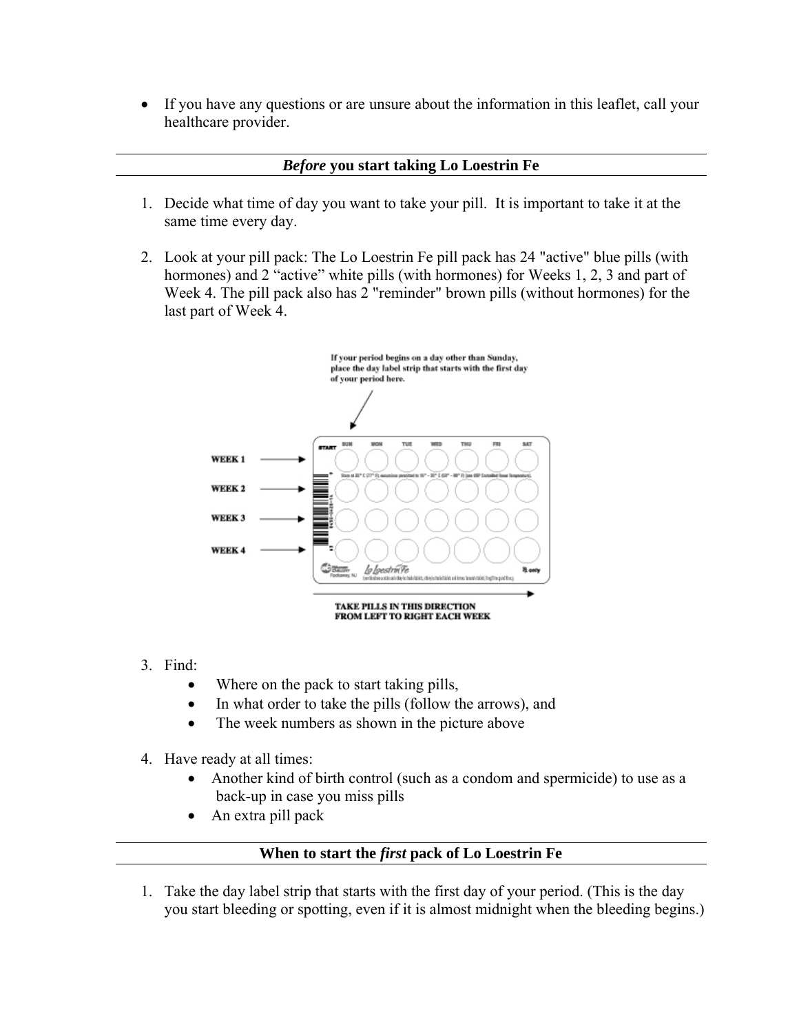• If you have any questions or are unsure about the information in this leaflet, call your healthcare provider.

## *Before* **you start taking Lo Loestrin Fe**

- 1. Decide what time of day you want to take your pill. It is important to take it at the same time every day.
- 2. Look at your pill pack: The Lo Loestrin Fe pill pack has 24 "active" blue pills (with hormones) and 2 "active" white pills (with hormones) for Weeks 1, 2, 3 and part of Week 4. The pill pack also has 2 "reminder" brown pills (without hormones) for the last part of Week 4.



- 3. Find:
	- Where on the pack to start taking pills,
	- In what order to take the pills (follow the arrows), and
	- The week numbers as shown in the picture above
- 4. Have ready at all times:
	- Another kind of birth control (such as a condom and spermicide) to use as a back-up in case you miss pills
	- An extra pill pack

## **When to start the** *first* **pack of Lo Loestrin Fe**

1. Take the day label strip that starts with the first day of your period. (This is the day you start bleeding or spotting, even if it is almost midnight when the bleeding begins.)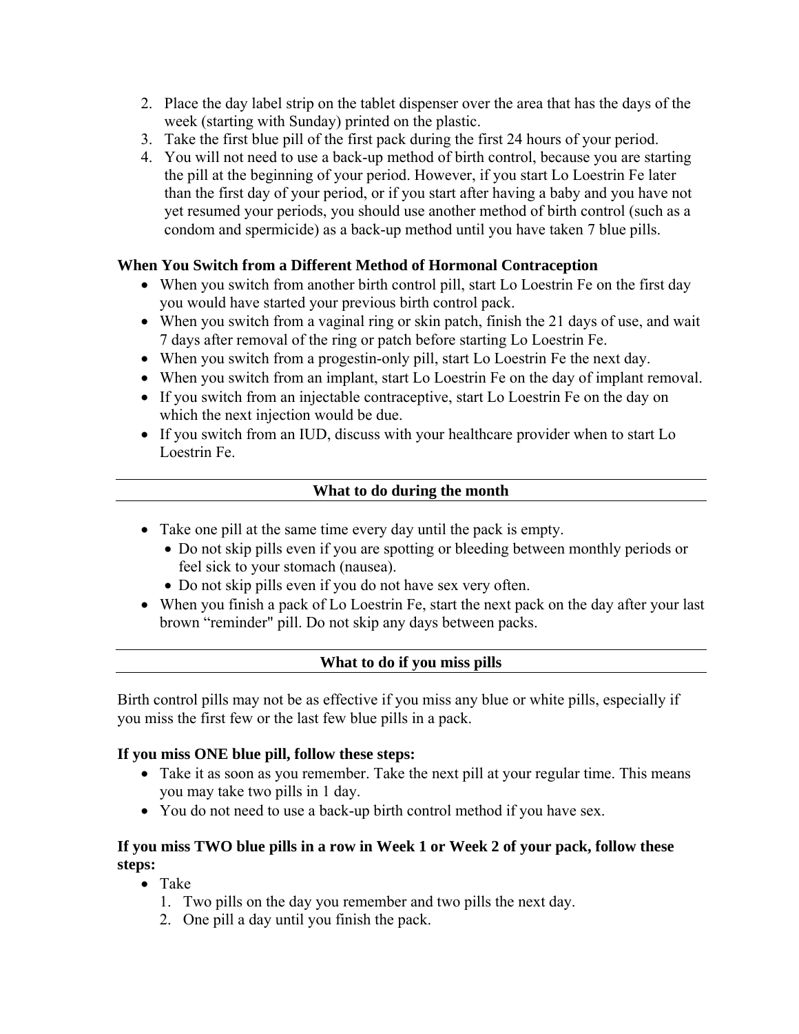- 2. Place the day label strip on the tablet dispenser over the area that has the days of the week (starting with Sunday) printed on the plastic.
- 3. Take the first blue pill of the first pack during the first 24 hours of your period.
- 4. You will not need to use a back-up method of birth control, because you are starting the pill at the beginning of your period. However, if you start Lo Loestrin Fe later than the first day of your period, or if you start after having a baby and you have not yet resumed your periods, you should use another method of birth control (such as a condom and spermicide) as a back-up method until you have taken 7 blue pills.

## **When You Switch from a Different Method of Hormonal Contraception**

- When you switch from another birth control pill, start Lo Loestrin Fe on the first day you would have started your previous birth control pack.
- When you switch from a vaginal ring or skin patch, finish the 21 days of use, and wait 7 days after removal of the ring or patch before starting Lo Loestrin Fe.
- When you switch from a progestin-only pill, start Lo Loestrin Fe the next day.
- When you switch from an implant, start Lo Loestrin Fe on the day of implant removal.
- If you switch from an injectable contraceptive, start Lo Loestrin Fe on the day on which the next injection would be due.
- If you switch from an IUD, discuss with your healthcare provider when to start Lo Loestrin Fe.

## **What to do during the month**

- Take one pill at the same time every day until the pack is empty.
	- Do not skip pills even if you are spotting or bleeding between monthly periods or feel sick to your stomach (nausea).
	- Do not skip pills even if you do not have sex very often.
- When you finish a pack of Lo Loestrin Fe, start the next pack on the day after your last brown "reminder" pill. Do not skip any days between packs.

## **What to do if you miss pills**

Birth control pills may not be as effective if you miss any blue or white pills, especially if you miss the first few or the last few blue pills in a pack.

### **If you miss ONE blue pill, follow these steps:**

- Take it as soon as you remember. Take the next pill at your regular time. This means you may take two pills in 1 day.
- You do not need to use a back-up birth control method if you have sex.

## **If you miss TWO blue pills in a row in Week 1 or Week 2 of your pack, follow these steps:**

- Take
	- 1. Two pills on the day you remember and two pills the next day.
	- 2. One pill a day until you finish the pack.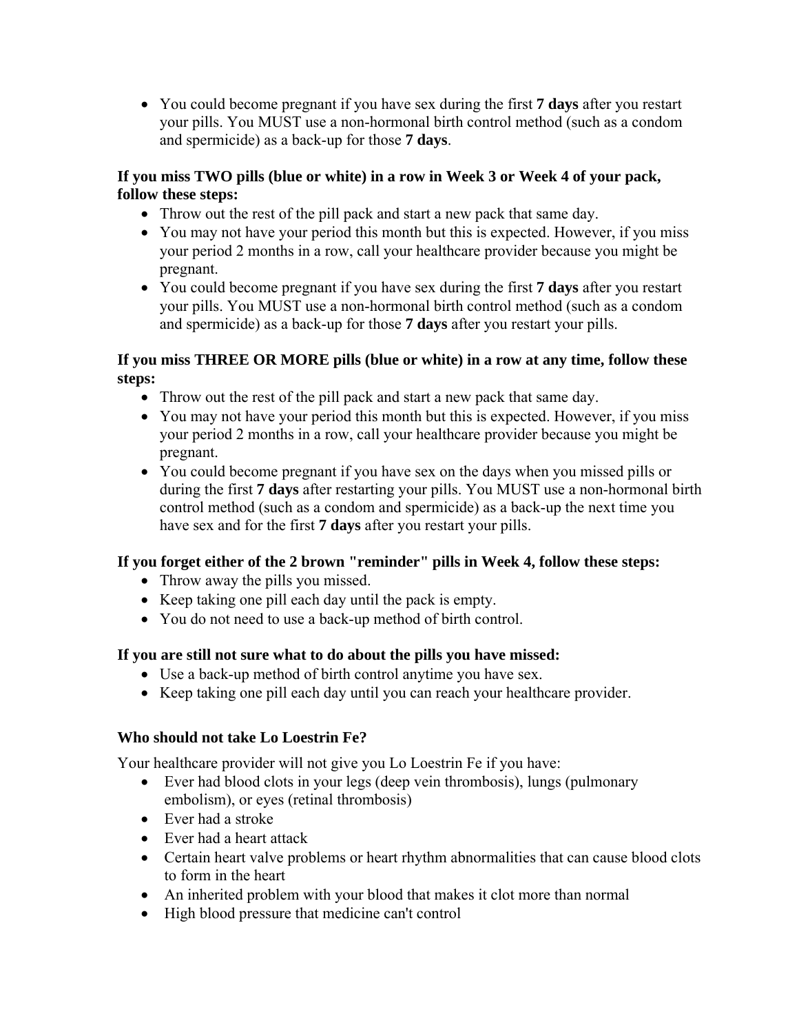• You could become pregnant if you have sex during the first **7 days** after you restart your pills. You MUST use a non-hormonal birth control method (such as a condom and spermicide) as a back-up for those **7 days**.

## **If you miss TWO pills (blue or white) in a row in Week 3 or Week 4 of your pack, follow these steps:**

- Throw out the rest of the pill pack and start a new pack that same day.
- You may not have your period this month but this is expected. However, if you miss your period 2 months in a row, call your healthcare provider because you might be pregnant.
- You could become pregnant if you have sex during the first **7 days** after you restart your pills. You MUST use a non-hormonal birth control method (such as a condom and spermicide) as a back-up for those **7 days** after you restart your pills.

## **If you miss THREE OR MORE pills (blue or white) in a row at any time, follow these steps:**

- Throw out the rest of the pill pack and start a new pack that same day.
- You may not have your period this month but this is expected. However, if you miss your period 2 months in a row, call your healthcare provider because you might be pregnant.
- You could become pregnant if you have sex on the days when you missed pills or during the first **7 days** after restarting your pills. You MUST use a non-hormonal birth control method (such as a condom and spermicide) as a back-up the next time you have sex and for the first **7 days** after you restart your pills.

# **If you forget either of the 2 brown "reminder" pills in Week 4, follow these steps:**

- Throw away the pills you missed.
- Keep taking one pill each day until the pack is empty.
- You do not need to use a back-up method of birth control.

## **If you are still not sure what to do about the pills you have missed:**

- Use a back-up method of birth control anytime you have sex.
- Keep taking one pill each day until you can reach your healthcare provider.

## **Who should not take Lo Loestrin Fe?**

Your healthcare provider will not give you Lo Loestrin Fe if you have:

- Ever had blood clots in your legs (deep vein thrombosis), lungs (pulmonary embolism), or eyes (retinal thrombosis)
- Ever had a stroke
- Ever had a heart attack
- Certain heart valve problems or heart rhythm abnormalities that can cause blood clots to form in the heart
- An inherited problem with your blood that makes it clot more than normal
- High blood pressure that medicine can't control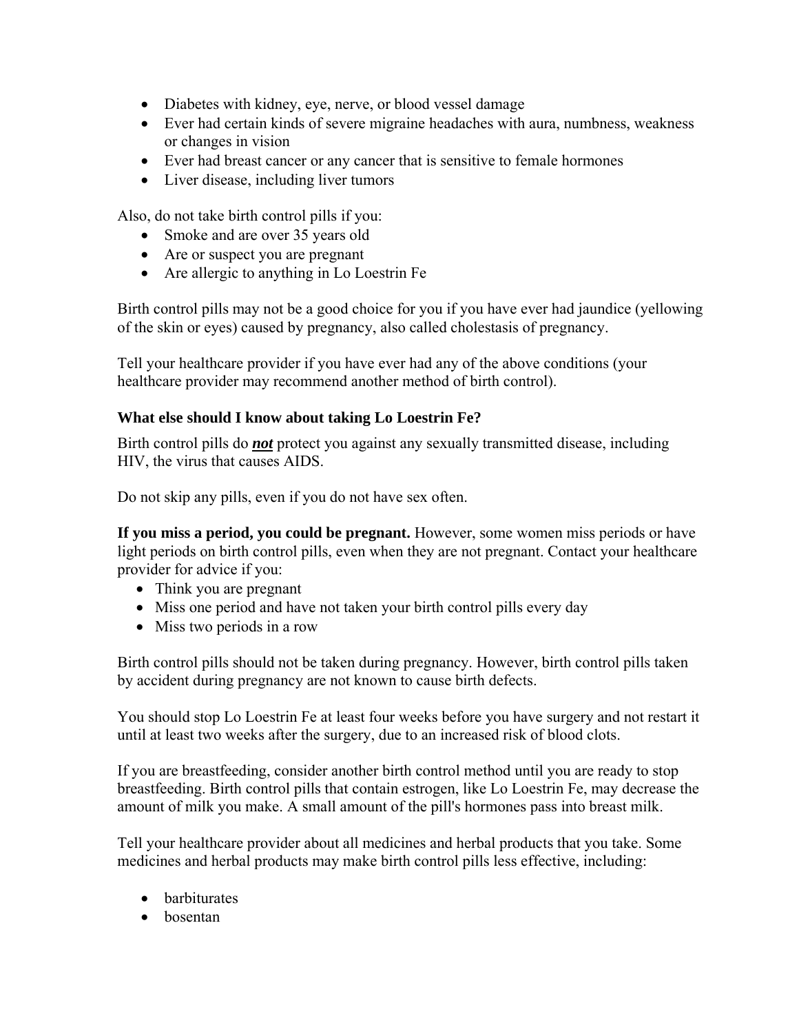- Diabetes with kidney, eye, nerve, or blood vessel damage
- Ever had certain kinds of severe migraine headaches with aura, numbness, weakness or changes in vision
- Ever had breast cancer or any cancer that is sensitive to female hormones
- Liver disease, including liver tumors

Also, do not take birth control pills if you:

- Smoke and are over 35 years old
- Are or suspect you are pregnant
- Are allergic to anything in Lo Loestrin Fe

Birth control pills may not be a good choice for you if you have ever had jaundice (yellowing of the skin or eyes) caused by pregnancy, also called cholestasis of pregnancy.

Tell your healthcare provider if you have ever had any of the above conditions (your healthcare provider may recommend another method of birth control).

## **What else should I know about taking Lo Loestrin Fe?**

Birth control pills do *not* protect you against any sexually transmitted disease, including HIV, the virus that causes AIDS.

Do not skip any pills, even if you do not have sex often.

**If you miss a period, you could be pregnant.** However, some women miss periods or have light periods on birth control pills, even when they are not pregnant. Contact your healthcare provider for advice if you:

- Think you are pregnant
- Miss one period and have not taken your birth control pills every day
- Miss two periods in a row

Birth control pills should not be taken during pregnancy. However, birth control pills taken by accident during pregnancy are not known to cause birth defects.

You should stop Lo Loestrin Fe at least four weeks before you have surgery and not restart it until at least two weeks after the surgery, due to an increased risk of blood clots.

If you are breastfeeding, consider another birth control method until you are ready to stop breastfeeding. Birth control pills that contain estrogen, like Lo Loestrin Fe, may decrease the amount of milk you make. A small amount of the pill's hormones pass into breast milk.

Tell your healthcare provider about all medicines and herbal products that you take. Some medicines and herbal products may make birth control pills less effective, including:

- barbiturates
- bosentan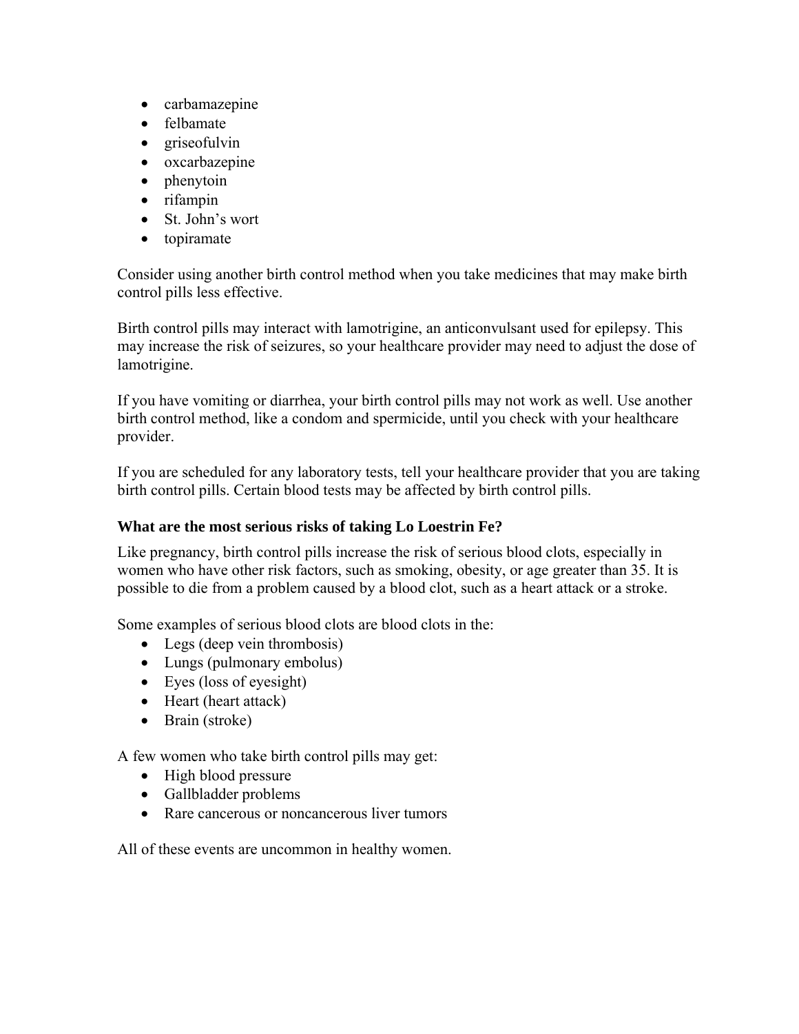- carbamazepine
- felbamate
- griseofulvin
- oxcarbazepine
- phenytoin
- rifampin
- St. John's wort
- topiramate

Consider using another birth control method when you take medicines that may make birth control pills less effective.

Birth control pills may interact with lamotrigine, an anticonvulsant used for epilepsy. This may increase the risk of seizures, so your healthcare provider may need to adjust the dose of lamotrigine.

If you have vomiting or diarrhea, your birth control pills may not work as well. Use another birth control method, like a condom and spermicide, until you check with your healthcare provider.

If you are scheduled for any laboratory tests, tell your healthcare provider that you are taking birth control pills. Certain blood tests may be affected by birth control pills.

## **What are the most serious risks of taking Lo Loestrin Fe?**

Like pregnancy, birth control pills increase the risk of serious blood clots, especially in women who have other risk factors, such as smoking, obesity, or age greater than 35. It is possible to die from a problem caused by a blood clot, such as a heart attack or a stroke.

Some examples of serious blood clots are blood clots in the:

- Legs (deep vein thrombosis)
- Lungs (pulmonary embolus)
- Eyes (loss of eyesight)
- Heart (heart attack)
- Brain (stroke)

A few women who take birth control pills may get:

- High blood pressure
- Gallbladder problems
- Rare cancerous or noncancerous liver tumors

All of these events are uncommon in healthy women.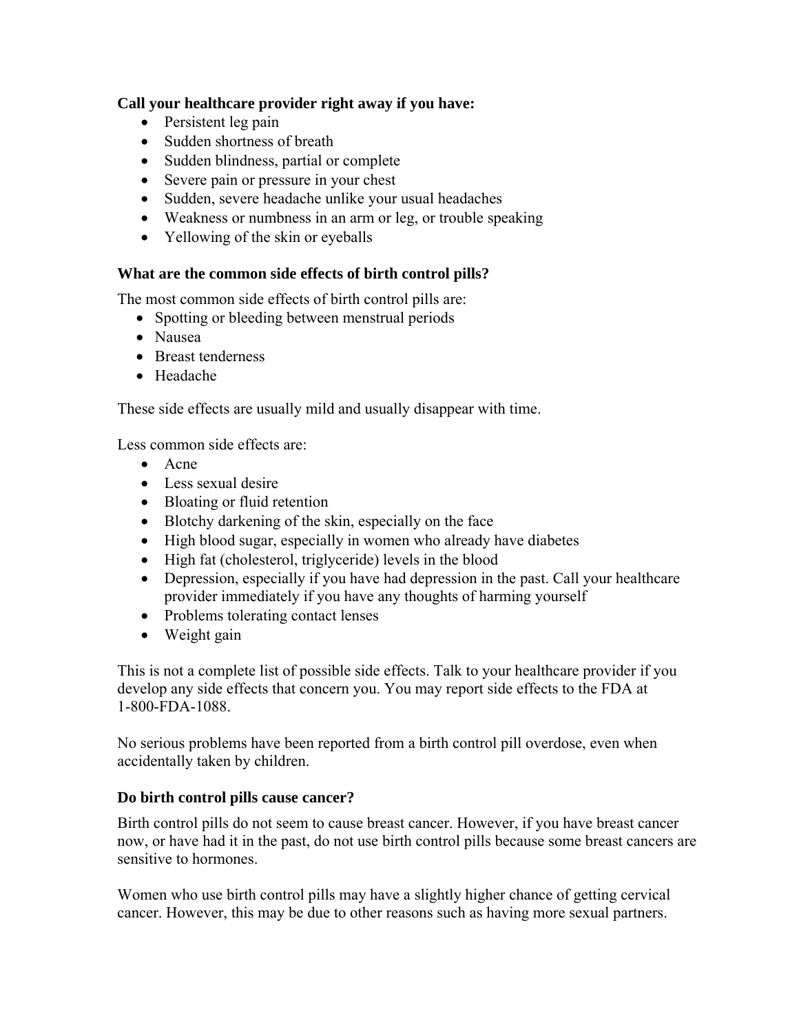## **Call your healthcare provider right away if you have:**

- Persistent leg pain
- Sudden shortness of breath
- Sudden blindness, partial or complete
- Severe pain or pressure in your chest
- Sudden, severe headache unlike your usual headaches
- Weakness or numbness in an arm or leg, or trouble speaking
- Yellowing of the skin or eyeballs

## **What are the common side effects of birth control pills?**

The most common side effects of birth control pills are:

- Spotting or bleeding between menstrual periods
- Nausea
- Breast tenderness
- Headache

These side effects are usually mild and usually disappear with time.

Less common side effects are:

- Acne
- Less sexual desire
- Bloating or fluid retention
- Blotchy darkening of the skin, especially on the face
- High blood sugar, especially in women who already have diabetes
- High fat (cholesterol, triglyceride) levels in the blood
- Depression, especially if you have had depression in the past. Call your healthcare provider immediately if you have any thoughts of harming yourself
- Problems tolerating contact lenses
- Weight gain

This is not a complete list of possible side effects. Talk to your healthcare provider if you develop any side effects that concern you. You may report side effects to the FDA at 1-800-FDA-1088.

No serious problems have been reported from a birth control pill overdose, even when accidentally taken by children.

## **Do birth control pills cause cancer?**

Birth control pills do not seem to cause breast cancer. However, if you have breast cancer now, or have had it in the past, do not use birth control pills because some breast cancers are sensitive to hormones.

Women who use birth control pills may have a slightly higher chance of getting cervical cancer. However, this may be due to other reasons such as having more sexual partners.